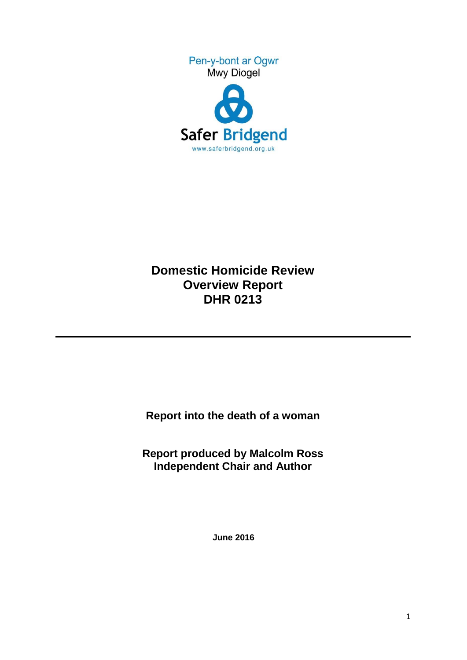



# **Domestic Homicide Review Overview Report DHR 0213**

**Report into the death of a woman** 

**Report produced by Malcolm Ross Independent Chair and Author**

**June 2016**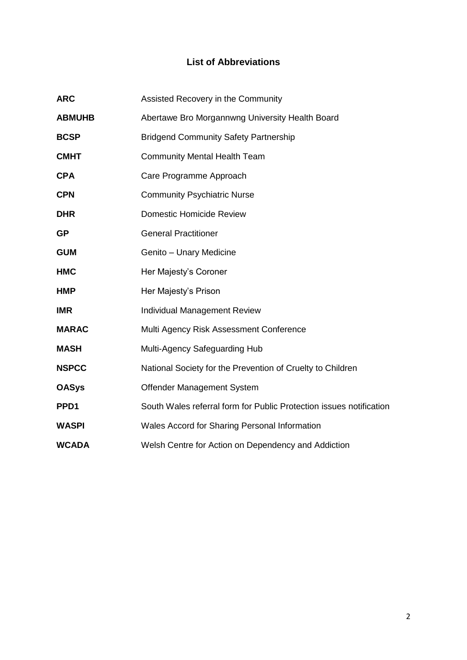# **List of Abbreviations**

| <b>ARC</b>    | Assisted Recovery in the Community                                  |
|---------------|---------------------------------------------------------------------|
| <b>ABMUHB</b> | Abertawe Bro Morgannwng University Health Board                     |
| <b>BCSP</b>   | <b>Bridgend Community Safety Partnership</b>                        |
| <b>CMHT</b>   | <b>Community Mental Health Team</b>                                 |
| <b>CPA</b>    | Care Programme Approach                                             |
| <b>CPN</b>    | <b>Community Psychiatric Nurse</b>                                  |
| <b>DHR</b>    | <b>Domestic Homicide Review</b>                                     |
| <b>GP</b>     | <b>General Practitioner</b>                                         |
| <b>GUM</b>    | Genito - Unary Medicine                                             |
| <b>HMC</b>    | Her Majesty's Coroner                                               |
| <b>HMP</b>    | Her Majesty's Prison                                                |
| <b>IMR</b>    | <b>Individual Management Review</b>                                 |
| <b>MARAC</b>  | Multi Agency Risk Assessment Conference                             |
| <b>MASH</b>   | Multi-Agency Safeguarding Hub                                       |
| <b>NSPCC</b>  | National Society for the Prevention of Cruelty to Children          |
| <b>OASys</b>  | Offender Management System                                          |
| PPD1          | South Wales referral form for Public Protection issues notification |
| <b>WASPI</b>  | Wales Accord for Sharing Personal Information                       |
| <b>WCADA</b>  | Welsh Centre for Action on Dependency and Addiction                 |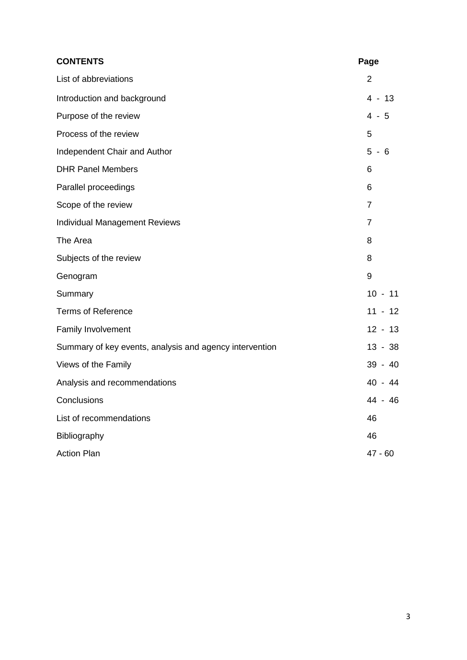| <b>CONTENTS</b>                                         | Page           |
|---------------------------------------------------------|----------------|
| List of abbreviations                                   | $\overline{2}$ |
| Introduction and background                             | $4 - 13$       |
| Purpose of the review                                   | $4 - 5$        |
| Process of the review                                   | 5              |
| Independent Chair and Author                            | $5 - 6$        |
| <b>DHR Panel Members</b>                                | 6              |
| Parallel proceedings                                    | 6              |
| Scope of the review                                     | $\overline{7}$ |
| <b>Individual Management Reviews</b>                    | $\overline{7}$ |
| The Area                                                | 8              |
| Subjects of the review                                  | 8              |
| Genogram                                                | 9              |
| Summary                                                 | $10 - 11$      |
| <b>Terms of Reference</b>                               | $11 - 12$      |
| Family Involvement                                      | $12 - 13$      |
| Summary of key events, analysis and agency intervention | $13 - 38$      |
| Views of the Family                                     | 39 - 40        |
| Analysis and recommendations                            | 40 - 44        |
| Conclusions                                             | 44 - 46        |
| List of recommendations                                 | 46             |
| Bibliography                                            | 46             |
| <b>Action Plan</b>                                      | $47 - 60$      |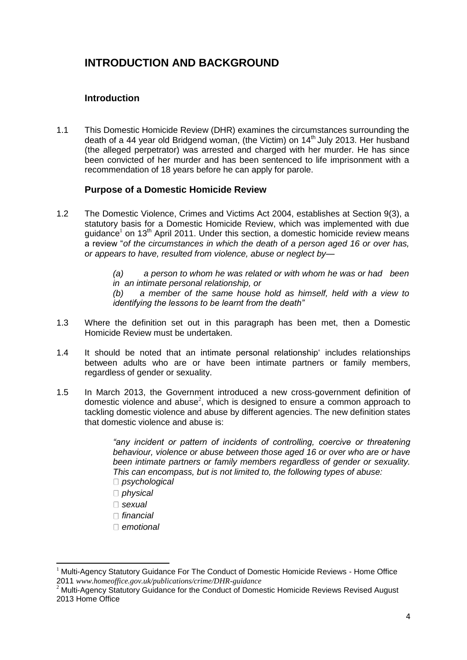# **INTRODUCTION AND BACKGROUND**

# **Introduction**

1.1 This Domestic Homicide Review (DHR) examines the circumstances surrounding the death of a 44 year old Bridgend woman, (the Victim) on  $14<sup>th</sup>$  July 2013. Her husband (the alleged perpetrator) was arrested and charged with her murder. He has since been convicted of her murder and has been sentenced to life imprisonment with a recommendation of 18 years before he can apply for parole.

# **Purpose of a Domestic Homicide Review**

1.2 The Domestic Violence, Crimes and Victims Act 2004, establishes at Section 9(3), a statutory basis for a Domestic Homicide Review, which was implemented with due guidance<sup>1</sup> on 13<sup>th</sup> April 2011. Under this section, a domestic homicide review means a review "*of the circumstances in which the death of a person aged 16 or over has, or appears to have, resulted from violence, abuse or neglect by—*

> *(a) a person to whom he was related or with whom he was or had been in an intimate personal relationship, or*

> *(b) a member of the same house hold as himself, held with a view to identifying the lessons to be learnt from the death"*

- 1.3 Where the definition set out in this paragraph has been met, then a Domestic Homicide Review must be undertaken.
- 1.4 It should be noted that an intimate personal relationship' includes relationships between adults who are or have been intimate partners or family members, regardless of gender or sexuality.
- 1.5 In March 2013, the Government introduced a new cross-government definition of domestic violence and abuse<sup>2</sup>, which is designed to ensure a common approach to tackling domestic violence and abuse by different agencies. The new definition states that domestic violence and abuse is:

*"any incident or pattern of incidents of controlling, coercive or threatening behaviour, violence or abuse between those aged 16 or over who are or have been intimate partners or family members regardless of gender or sexuality. This can encompass, but is not limited to, the following types of abuse:* 

- *psychological*
- *physical*
- *sexual*

 $\overline{a}$ 

- *financial*
- *emotional*

<sup>1</sup> Multi-Agency Statutory Guidance For The Conduct of Domestic Homicide Reviews - Home Office 2011 *www.homeoffice.gov.uk/publications/crime/DHR-guidance*

<sup>&</sup>lt;sup>2</sup> Multi-Agency Statutory Guidance for the Conduct of Domestic Homicide Reviews Revised August 2013 Home Office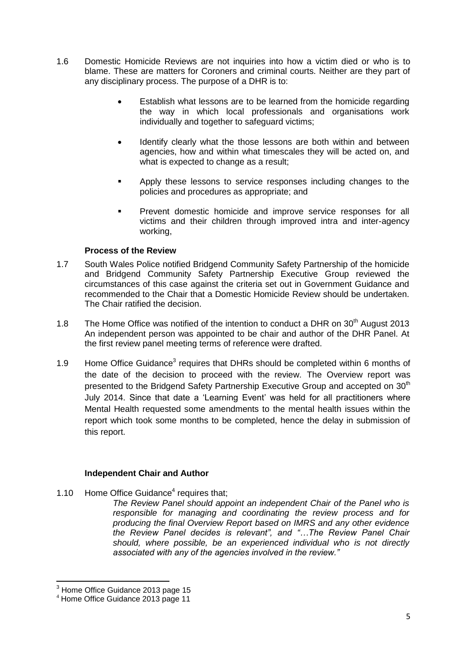- 1.6 Domestic Homicide Reviews are not inquiries into how a victim died or who is to blame. These are matters for Coroners and criminal courts. Neither are they part of any disciplinary process. The purpose of a DHR is to:
	- Establish what lessons are to be learned from the homicide regarding the way in which local professionals and organisations work individually and together to safeguard victims;
	- Identify clearly what the those lessons are both within and between agencies, how and within what timescales they will be acted on, and what is expected to change as a result:
	- **Apply these lessons to service responses including changes to the** policies and procedures as appropriate; and
	- Prevent domestic homicide and improve service responses for all victims and their children through improved intra and inter-agency working,

#### **Process of the Review**

- 1.7 South Wales Police notified Bridgend Community Safety Partnership of the homicide and Bridgend Community Safety Partnership Executive Group reviewed the circumstances of this case against the criteria set out in Government Guidance and recommended to the Chair that a Domestic Homicide Review should be undertaken. The Chair ratified the decision.
- 1.8 The Home Office was notified of the intention to conduct a DHR on  $30<sup>th</sup>$  August 2013 An independent person was appointed to be chair and author of the DHR Panel. At the first review panel meeting terms of reference were drafted.
- 1.9 Home Office Guidance<sup>3</sup> requires that DHRs should be completed within 6 months of the date of the decision to proceed with the review. The Overview report was presented to the Bridgend Safety Partnership Executive Group and accepted on 30<sup>th</sup> July 2014. Since that date a 'Learning Event' was held for all practitioners where Mental Health requested some amendments to the mental health issues within the report which took some months to be completed, hence the delay in submission of this report.

#### **Independent Chair and Author**

1.10 Home Office Guidance<sup>4</sup> requires that;

*The Review Panel should appoint an independent Chair of the Panel who is responsible for managing and coordinating the review process and for producing the final Overview Report based on IMRS and any other evidence the Review Panel decides is relevant", and "…The Review Panel Chair should, where possible, be an experienced individual who is not directly associated with any of the agencies involved in the review."*

**.** 

 $3$  Home Office Guidance 2013 page 15

<sup>4</sup> Home Office Guidance 2013 page 11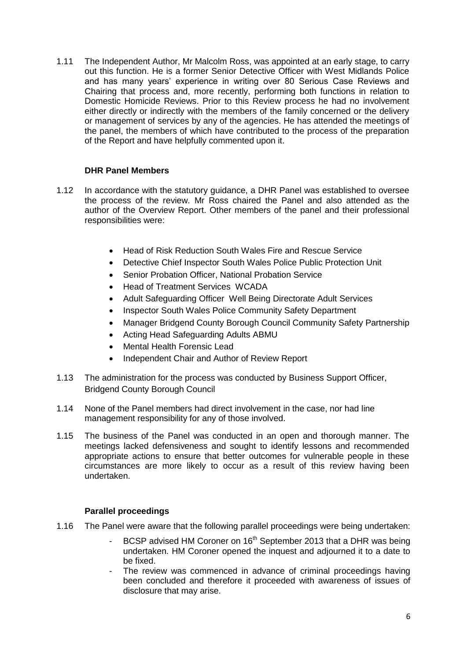1.11 The Independent Author, Mr Malcolm Ross, was appointed at an early stage, to carry out this function. He is a former Senior Detective Officer with West Midlands Police and has many years' experience in writing over 80 Serious Case Reviews and Chairing that process and, more recently, performing both functions in relation to Domestic Homicide Reviews. Prior to this Review process he had no involvement either directly or indirectly with the members of the family concerned or the delivery or management of services by any of the agencies. He has attended the meetings of the panel, the members of which have contributed to the process of the preparation of the Report and have helpfully commented upon it.

## **DHR Panel Members**

- 1.12 In accordance with the statutory guidance, a DHR Panel was established to oversee the process of the review. Mr Ross chaired the Panel and also attended as the author of the Overview Report. Other members of the panel and their professional responsibilities were:
	- Head of Risk Reduction South Wales Fire and Rescue Service
	- Detective Chief Inspector South Wales Police Public Protection Unit
	- Senior Probation Officer, National Probation Service
	- Head of Treatment Services WCADA
	- Adult Safeguarding Officer Well Being Directorate Adult Services
	- Inspector South Wales Police Community Safety Department
	- Manager Bridgend County Borough Council Community Safety Partnership
	- Acting Head Safeguarding Adults ABMU
	- Mental Health Forensic Lead
	- Independent Chair and Author of Review Report
- 1.13 The administration for the process was conducted by Business Support Officer, Bridgend County Borough Council
- 1.14 None of the Panel members had direct involvement in the case, nor had line management responsibility for any of those involved.
- 1.15 The business of the Panel was conducted in an open and thorough manner. The meetings lacked defensiveness and sought to identify lessons and recommended appropriate actions to ensure that better outcomes for vulnerable people in these circumstances are more likely to occur as a result of this review having been undertaken.

## **Parallel proceedings**

- 1.16 The Panel were aware that the following parallel proceedings were being undertaken:
	- BCSP advised HM Coroner on 16<sup>th</sup> September 2013 that a DHR was being undertaken. HM Coroner opened the inquest and adjourned it to a date to be fixed.
	- The review was commenced in advance of criminal proceedings having been concluded and therefore it proceeded with awareness of issues of disclosure that may arise.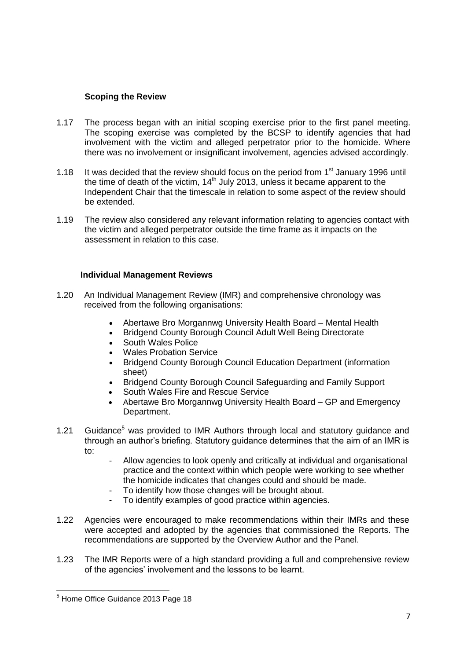## **Scoping the Review**

- 1.17 The process began with an initial scoping exercise prior to the first panel meeting. The scoping exercise was completed by the BCSP to identify agencies that had involvement with the victim and alleged perpetrator prior to the homicide. Where there was no involvement or insignificant involvement, agencies advised accordingly.
- 1.18 It was decided that the review should focus on the period from  $1<sup>st</sup>$  January 1996 until the time of death of the victim,  $14<sup>th</sup>$  July 2013, unless it became apparent to the Independent Chair that the timescale in relation to some aspect of the review should be extended.
- 1.19 The review also considered any relevant information relating to agencies contact with the victim and alleged perpetrator outside the time frame as it impacts on the assessment in relation to this case.

#### **Individual Management Reviews**

- 1.20 An Individual Management Review (IMR) and comprehensive chronology was received from the following organisations:
	- Abertawe Bro Morgannwg University Health Board Mental Health
	- Bridgend County Borough Council Adult Well Being Directorate
	- South Wales Police
	- Wales Probation Service
	- Bridgend County Borough Council Education Department (information sheet)
	- Bridgend County Borough Council Safeguarding and Family Support
	- South Wales Fire and Rescue Service
	- Abertawe Bro Morgannwg University Health Board GP and Emergency Department.
- 1.21 Guidance<sup>5</sup> was provided to IMR Authors through local and statutory quidance and through an author's briefing. Statutory guidance determines that the aim of an IMR is to:
	- Allow agencies to look openly and critically at individual and organisational practice and the context within which people were working to see whether the homicide indicates that changes could and should be made.
	- To identify how those changes will be brought about.
	- To identify examples of good practice within agencies.
- 1.22 Agencies were encouraged to make recommendations within their IMRs and these were accepted and adopted by the agencies that commissioned the Reports. The recommendations are supported by the Overview Author and the Panel.
- 1.23 The IMR Reports were of a high standard providing a full and comprehensive review of the agencies' involvement and the lessons to be learnt.

**<sup>.</sup>** <sup>5</sup> Home Office Guidance 2013 Page 18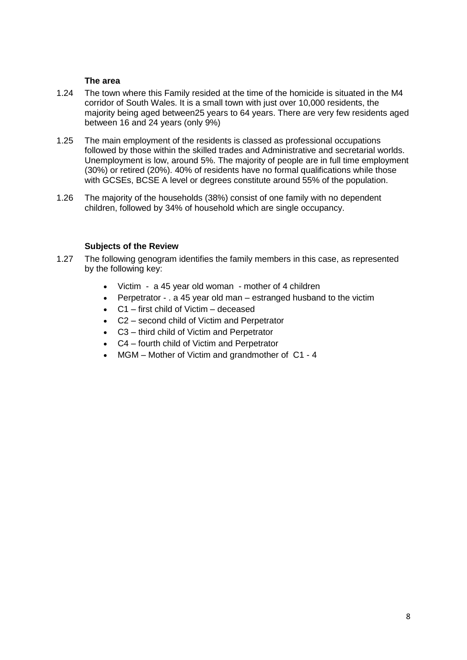#### **The area**

- 1.24 The town where this Family resided at the time of the homicide is situated in the M4 corridor of South Wales. It is a small town with just over 10,000 residents, the majority being aged between25 years to 64 years. There are very few residents aged between 16 and 24 years (only 9%)
- 1.25 The main employment of the residents is classed as professional occupations followed by those within the skilled trades and Administrative and secretarial worlds. Unemployment is low, around 5%. The majority of people are in full time employment (30%) or retired (20%). 40% of residents have no formal qualifications while those with GCSEs, BCSE A level or degrees constitute around 55% of the population.
- 1.26 The majority of the households (38%) consist of one family with no dependent children, followed by 34% of household which are single occupancy.

#### **Subjects of the Review**

- 1.27 The following genogram identifies the family members in this case, as represented by the following key:
	- Victim a 45 year old woman mother of 4 children
	- Perpetrator . a 45 year old man estranged husband to the victim
	- C1 first child of Victim deceased
	- C2 second child of Victim and Perpetrator
	- C3 third child of Victim and Perpetrator
	- C4 fourth child of Victim and Perpetrator
	- MGM Mother of Victim and grandmother of C1 4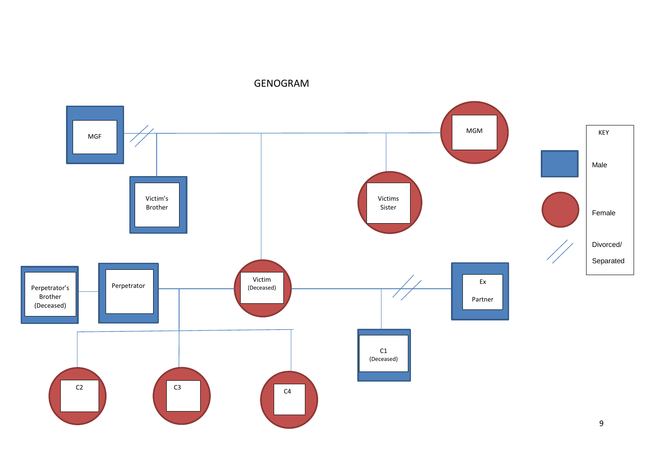GENOGRAM

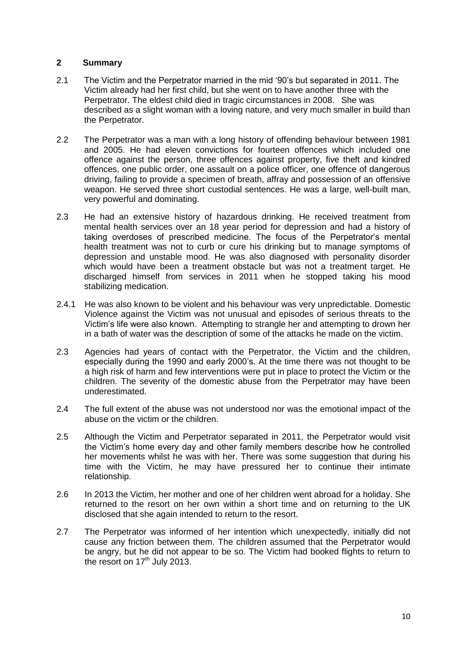#### **2 Summary**

- 2.1 The Victim and the Perpetrator married in the mid '90's but separated in 2011. The Victim already had her first child, but she went on to have another three with the Perpetrator. The eldest child died in tragic circumstances in 2008. She was described as a slight woman with a loving nature, and very much smaller in build than the Perpetrator.
- 2.2 The Perpetrator was a man with a long history of offending behaviour between 1981 and 2005. He had eleven convictions for fourteen offences which included one offence against the person, three offences against property, five theft and kindred offences, one public order, one assault on a police officer, one offence of dangerous driving, failing to provide a specimen of breath, affray and possession of an offensive weapon. He served three short custodial sentences. He was a large, well-built man, very powerful and dominating.
- 2.3 He had an extensive history of hazardous drinking. He received treatment from mental health services over an 18 year period for depression and had a history of taking overdoses of prescribed medicine. The focus of the Perpetrator's mental health treatment was not to curb or cure his drinking but to manage symptoms of depression and unstable mood. He was also diagnosed with personality disorder which would have been a treatment obstacle but was not a treatment target. He discharged himself from services in 2011 when he stopped taking his mood stabilizing medication.
- 2.4.1 He was also known to be violent and his behaviour was very unpredictable. Domestic Violence against the Victim was not unusual and episodes of serious threats to the Victim's life were also known. Attempting to strangle her and attempting to drown her in a bath of water was the description of some of the attacks he made on the victim.
- 2.3 Agencies had years of contact with the Perpetrator, the Victim and the children, especially during the 1990 and early 2000's. At the time there was not thought to be a high risk of harm and few interventions were put in place to protect the Victim or the children. The severity of the domestic abuse from the Perpetrator may have been underestimated.
- 2.4 The full extent of the abuse was not understood nor was the emotional impact of the abuse on the victim or the children.
- 2.5 Although the Victim and Perpetrator separated in 2011, the Perpetrator would visit the Victim's home every day and other family members describe how he controlled her movements whilst he was with her. There was some suggestion that during his time with the Victim, he may have pressured her to continue their intimate relationship.
- 2.6 In 2013 the Victim, her mother and one of her children went abroad for a holiday. She returned to the resort on her own within a short time and on returning to the UK disclosed that she again intended to return to the resort.
- 2.7 The Perpetrator was informed of her intention which unexpectedly, initially did not cause any friction between them. The children assumed that the Perpetrator would be angry, but he did not appear to be so. The Victim had booked flights to return to the resort on  $17<sup>th</sup>$  July 2013.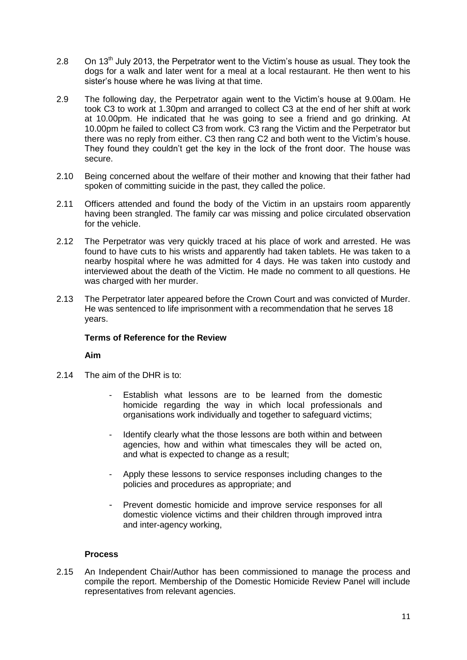- 2.8 On 13<sup>th</sup> July 2013, the Perpetrator went to the Victim's house as usual. They took the dogs for a walk and later went for a meal at a local restaurant. He then went to his sister's house where he was living at that time.
- 2.9 The following day, the Perpetrator again went to the Victim's house at 9.00am. He took C3 to work at 1.30pm and arranged to collect C3 at the end of her shift at work at 10.00pm. He indicated that he was going to see a friend and go drinking. At 10.00pm he failed to collect C3 from work. C3 rang the Victim and the Perpetrator but there was no reply from either. C3 then rang C2 and both went to the Victim's house. They found they couldn't get the key in the lock of the front door. The house was secure.
- 2.10 Being concerned about the welfare of their mother and knowing that their father had spoken of committing suicide in the past, they called the police.
- 2.11 Officers attended and found the body of the Victim in an upstairs room apparently having been strangled. The family car was missing and police circulated observation for the vehicle.
- 2.12 The Perpetrator was very quickly traced at his place of work and arrested. He was found to have cuts to his wrists and apparently had taken tablets. He was taken to a nearby hospital where he was admitted for 4 days. He was taken into custody and interviewed about the death of the Victim. He made no comment to all questions. He was charged with her murder.
- 2.13 The Perpetrator later appeared before the Crown Court and was convicted of Murder. He was sentenced to life imprisonment with a recommendation that he serves 18 years.

#### **Terms of Reference for the Review**

#### **Aim**

- 2.14 The aim of the DHR is to:
	- Establish what lessons are to be learned from the domestic homicide regarding the way in which local professionals and organisations work individually and together to safeguard victims;
	- Identify clearly what the those lessons are both within and between agencies, how and within what timescales they will be acted on, and what is expected to change as a result;
	- Apply these lessons to service responses including changes to the policies and procedures as appropriate; and
	- Prevent domestic homicide and improve service responses for all domestic violence victims and their children through improved intra and inter-agency working,

#### **Process**

2.15 An Independent Chair/Author has been commissioned to manage the process and compile the report. Membership of the Domestic Homicide Review Panel will include representatives from relevant agencies.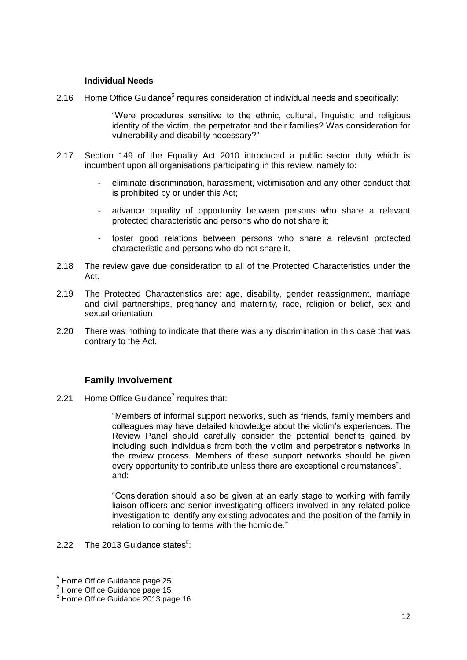#### **Individual Needs**

2.16 Home Office Guidance<sup>6</sup> requires consideration of individual needs and specifically:

"Were procedures sensitive to the ethnic, cultural, linguistic and religious identity of the victim, the perpetrator and their families? Was consideration for vulnerability and disability necessary?"

- 2.17 Section 149 of the Equality Act 2010 introduced a public sector duty which is incumbent upon all organisations participating in this review, namely to:
	- eliminate discrimination, harassment, victimisation and any other conduct that is prohibited by or under this Act;
	- advance equality of opportunity between persons who share a relevant protected characteristic and persons who do not share it;
	- foster good relations between persons who share a relevant protected characteristic and persons who do not share it.
- 2.18 The review gave due consideration to all of the Protected Characteristics under the Act.
- 2.19 The Protected Characteristics are: age, disability, gender reassignment, marriage and civil partnerships, pregnancy and maternity, race, religion or belief, sex and sexual orientation
- 2.20 There was nothing to indicate that there was any discrimination in this case that was contrary to the Act.

# **Family Involvement**

2.21 Home Office Guidance<sup>7</sup> requires that:

"Members of informal support networks, such as friends, family members and colleagues may have detailed knowledge about the victim's experiences. The Review Panel should carefully consider the potential benefits gained by including such individuals from both the victim and perpetrator's networks in the review process. Members of these support networks should be given every opportunity to contribute unless there are exceptional circumstances", and:

"Consideration should also be given at an early stage to working with family liaison officers and senior investigating officers involved in any related police investigation to identify any existing advocates and the position of the family in relation to coming to terms with the homicide."

2.22 The 2013 Guidance states $8$ :

 $\overline{\phantom{a}}$ <sup>6</sup> Home Office Guidance page 25

<sup>7</sup> Home Office Guidance page 15

<sup>&</sup>lt;sup>8</sup> Home Office Guidance 2013 page 16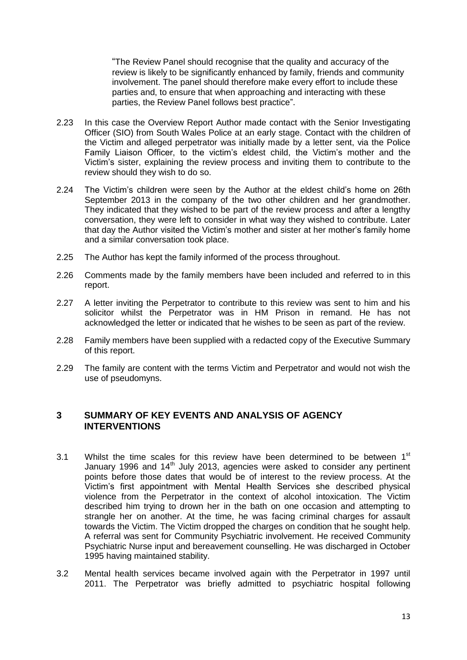"The Review Panel should recognise that the quality and accuracy of the review is likely to be significantly enhanced by family, friends and community involvement. The panel should therefore make every effort to include these parties and, to ensure that when approaching and interacting with these parties, the Review Panel follows best practice".

- 2.23 In this case the Overview Report Author made contact with the Senior Investigating Officer (SIO) from South Wales Police at an early stage. Contact with the children of the Victim and alleged perpetrator was initially made by a letter sent, via the Police Family Liaison Officer, to the victim's eldest child, the Victim's mother and the Victim's sister, explaining the review process and inviting them to contribute to the review should they wish to do so.
- 2.24 The Victim's children were seen by the Author at the eldest child's home on 26th September 2013 in the company of the two other children and her grandmother. They indicated that they wished to be part of the review process and after a lengthy conversation, they were left to consider in what way they wished to contribute. Later that day the Author visited the Victim's mother and sister at her mother's family home and a similar conversation took place.
- 2.25 The Author has kept the family informed of the process throughout.
- 2.26 Comments made by the family members have been included and referred to in this report.
- 2.27 A letter inviting the Perpetrator to contribute to this review was sent to him and his solicitor whilst the Perpetrator was in HM Prison in remand. He has not acknowledged the letter or indicated that he wishes to be seen as part of the review.
- 2.28 Family members have been supplied with a redacted copy of the Executive Summary of this report.
- 2.29 The family are content with the terms Victim and Perpetrator and would not wish the use of pseudomyns.

## **3 SUMMARY OF KEY EVENTS AND ANALYSIS OF AGENCY INTERVENTIONS**

- 3.1 Whilst the time scales for this review have been determined to be between  $1<sup>st</sup>$ January 1996 and  $14<sup>th</sup>$  July 2013, agencies were asked to consider any pertinent points before those dates that would be of interest to the review process. At the Victim's first appointment with Mental Health Services she described physical violence from the Perpetrator in the context of alcohol intoxication. The Victim described him trying to drown her in the bath on one occasion and attempting to strangle her on another. At the time, he was facing criminal charges for assault towards the Victim. The Victim dropped the charges on condition that he sought help. A referral was sent for Community Psychiatric involvement. He received Community Psychiatric Nurse input and bereavement counselling. He was discharged in October 1995 having maintained stability.
- 3.2 Mental health services became involved again with the Perpetrator in 1997 until 2011. The Perpetrator was briefly admitted to psychiatric hospital following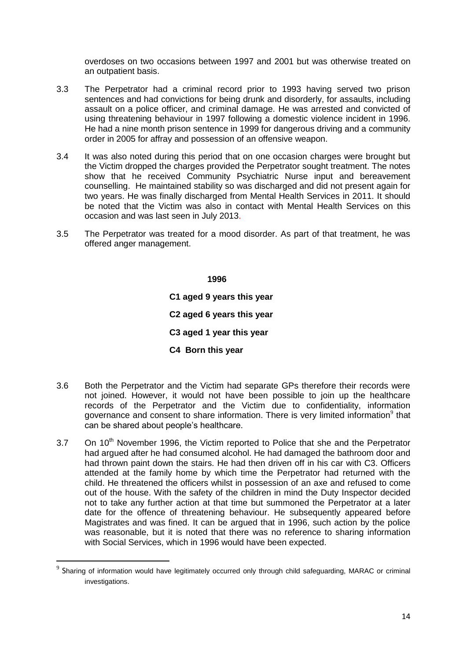overdoses on two occasions between 1997 and 2001 but was otherwise treated on an outpatient basis.

- 3.3 The Perpetrator had a criminal record prior to 1993 having served two prison sentences and had convictions for being drunk and disorderly, for assaults, including assault on a police officer, and criminal damage. He was arrested and convicted of using threatening behaviour in 1997 following a domestic violence incident in 1996. He had a nine month prison sentence in 1999 for dangerous driving and a community order in 2005 for affray and possession of an offensive weapon.
- 3.4 It was also noted during this period that on one occasion charges were brought but the Victim dropped the charges provided the Perpetrator sought treatment. The notes show that he received Community Psychiatric Nurse input and bereavement counselling. He maintained stability so was discharged and did not present again for two years. He was finally discharged from Mental Health Services in 2011. It should be noted that the Victim was also in contact with Mental Health Services on this occasion and was last seen in July 2013.
- 3.5 The Perpetrator was treated for a mood disorder. As part of that treatment, he was offered anger management.

 **1996 C1 aged 9 years this year C2 aged 6 years this year C3 aged 1 year this year C4 Born this year**

- 3.6 Both the Perpetrator and the Victim had separate GPs therefore their records were not joined. However, it would not have been possible to join up the healthcare records of the Perpetrator and the Victim due to confidentiality, information governance and consent to share information. There is very limited information $9$  that can be shared about people's healthcare.
- $3.7$  On  $10<sup>th</sup>$  November 1996, the Victim reported to Police that she and the Perpetrator had argued after he had consumed alcohol. He had damaged the bathroom door and had thrown paint down the stairs. He had then driven off in his car with C3. Officers attended at the family home by which time the Perpetrator had returned with the child. He threatened the officers whilst in possession of an axe and refused to come out of the house. With the safety of the children in mind the Duty Inspector decided not to take any further action at that time but summoned the Perpetrator at a later date for the offence of threatening behaviour. He subsequently appeared before Magistrates and was fined. It can be argued that in 1996, such action by the police was reasonable, but it is noted that there was no reference to sharing information with Social Services, which in 1996 would have been expected.

**.** 

 $9$  Sharing of information would have legitimately occurred only through child safeguarding, MARAC or criminal investigations.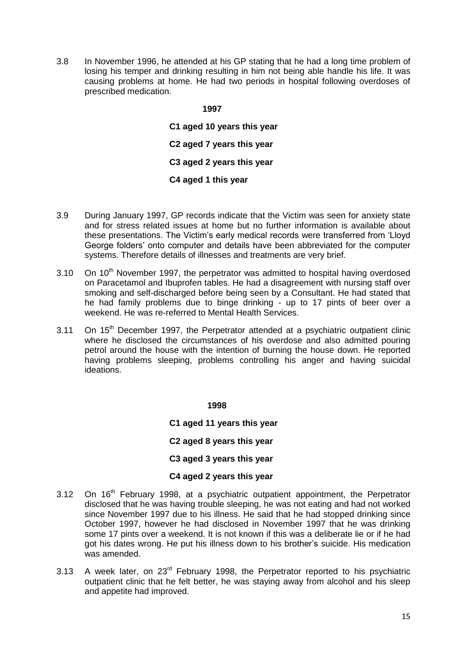3.8 In November 1996, he attended at his GP stating that he had a long time problem of losing his temper and drinking resulting in him not being able handle his life. It was causing problems at home. He had two periods in hospital following overdoses of prescribed medication.

#### **1997**

**C1 aged 10 years this year C2 aged 7 years this year C3 aged 2 years this year C4 aged 1 this year**

- 3.9 During January 1997, GP records indicate that the Victim was seen for anxiety state and for stress related issues at home but no further information is available about these presentations. The Victim's early medical records were transferred from 'Lloyd George folders' onto computer and details have been abbreviated for the computer systems. Therefore details of illnesses and treatments are very brief.
- 3.10 On  $10<sup>th</sup>$  November 1997, the perpetrator was admitted to hospital having overdosed on Paracetamol and Ibuprofen tables. He had a disagreement with nursing staff over smoking and self-discharged before being seen by a Consultant. He had stated that he had family problems due to binge drinking - up to 17 pints of beer over a weekend. He was re-referred to Mental Health Services.
- $3.11$  On  $15<sup>th</sup>$  December 1997, the Perpetrator attended at a psychiatric outpatient clinic where he disclosed the circumstances of his overdose and also admitted pouring petrol around the house with the intention of burning the house down. He reported having problems sleeping, problems controlling his anger and having suicidal ideations.

#### **1998**

**C1 aged 11 years this year**

**C2 aged 8 years this year**

**C3 aged 3 years this year**

#### **C4 aged 2 years this year**

- 3.12 On 16<sup>th</sup> February 1998, at a psychiatric outpatient appointment, the Perpetrator disclosed that he was having trouble sleeping, he was not eating and had not worked since November 1997 due to his illness. He said that he had stopped drinking since October 1997, however he had disclosed in November 1997 that he was drinking some 17 pints over a weekend. It is not known if this was a deliberate lie or if he had got his dates wrong. He put his illness down to his brother's suicide. His medication was amended.
- 3.13 A week later, on 23rd February 1998, the Perpetrator reported to his psychiatric outpatient clinic that he felt better, he was staying away from alcohol and his sleep and appetite had improved.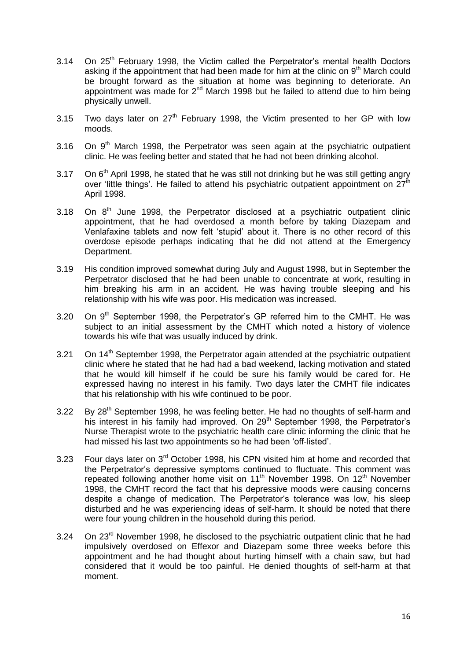- 3.14 On 25<sup>th</sup> February 1998, the Victim called the Perpetrator's mental health Doctors asking if the appointment that had been made for him at the clinic on  $9<sup>th</sup>$  March could be brought forward as the situation at home was beginning to deteriorate. An appointment was made for  $2^{nd}$  March 1998 but he failed to attend due to him being physically unwell.
- 3.15 Two days later on  $27<sup>th</sup>$  February 1998, the Victim presented to her GP with low moods.
- $3.16$  On  $9<sup>th</sup>$  March 1998, the Perpetrator was seen again at the psychiatric outpatient clinic. He was feeling better and stated that he had not been drinking alcohol.
- 3.17 On 6<sup>th</sup> April 1998, he stated that he was still not drinking but he was still getting angry over 'little things'. He failed to attend his psychiatric outpatient appointment on  $27<sup>th</sup>$ April 1998.
- 3.18 On  $8<sup>th</sup>$  June 1998, the Perpetrator disclosed at a psychiatric outpatient clinic appointment, that he had overdosed a month before by taking Diazepam and Venlafaxine tablets and now felt 'stupid' about it. There is no other record of this overdose episode perhaps indicating that he did not attend at the Emergency Department.
- 3.19 His condition improved somewhat during July and August 1998, but in September the Perpetrator disclosed that he had been unable to concentrate at work, resulting in him breaking his arm in an accident. He was having trouble sleeping and his relationship with his wife was poor. His medication was increased.
- 3.20 On 9<sup>th</sup> September 1998, the Perpetrator's GP referred him to the CMHT. He was subject to an initial assessment by the CMHT which noted a history of violence towards his wife that was usually induced by drink.
- 3.21 On  $14<sup>th</sup>$  September 1998, the Perpetrator again attended at the psychiatric outpatient clinic where he stated that he had had a bad weekend, lacking motivation and stated that he would kill himself if he could be sure his family would be cared for. He expressed having no interest in his family. Two days later the CMHT file indicates that his relationship with his wife continued to be poor.
- 3.22 By 28<sup>th</sup> September 1998, he was feeling better. He had no thoughts of self-harm and his interest in his family had improved. On 29<sup>th</sup> September 1998, the Perpetrator's Nurse Therapist wrote to the psychiatric health care clinic informing the clinic that he had missed his last two appointments so he had been 'off-listed'.
- 3.23 Four days later on 3<sup>rd</sup> October 1998, his CPN visited him at home and recorded that the Perpetrator's depressive symptoms continued to fluctuate. This comment was repeated following another home visit on 11<sup>th</sup> November 1998. On 12<sup>th</sup> November 1998, the CMHT record the fact that his depressive moods were causing concerns despite a change of medication. The Perpetrator's tolerance was low, his sleep disturbed and he was experiencing ideas of self-harm. It should be noted that there were four young children in the household during this period.
- 3.24 On 23<sup>rd</sup> November 1998, he disclosed to the psychiatric outpatient clinic that he had impulsively overdosed on Effexor and Diazepam some three weeks before this appointment and he had thought about hurting himself with a chain saw, but had considered that it would be too painful. He denied thoughts of self-harm at that moment.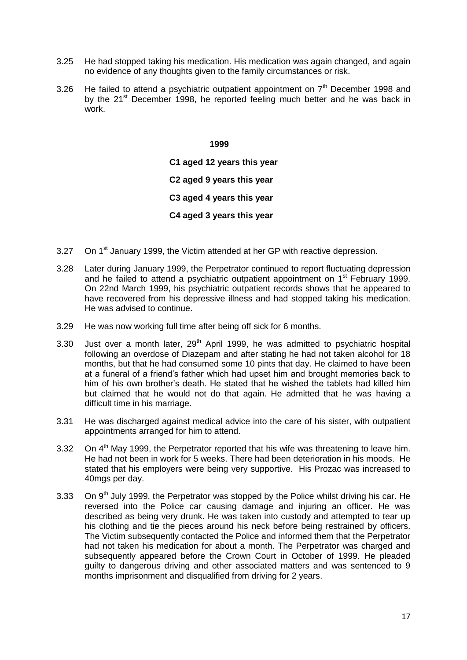- 3.25 He had stopped taking his medication. His medication was again changed, and again no evidence of any thoughts given to the family circumstances or risk.
- 3.26 He failed to attend a psychiatric outpatient appointment on  $7<sup>th</sup>$  December 1998 and by the 21<sup>st</sup> December 1998, he reported feeling much better and he was back in work.

**C1 aged 12 years this year C2 aged 9 years this year C3 aged 4 years this year C4 aged 3 years this year**

- 3.27 On  $1<sup>st</sup>$  January 1999, the Victim attended at her GP with reactive depression.
- 3.28 Later during January 1999, the Perpetrator continued to report fluctuating depression and he failed to attend a psychiatric outpatient appointment on  $1<sup>st</sup>$  February 1999. On 22nd March 1999, his psychiatric outpatient records shows that he appeared to have recovered from his depressive illness and had stopped taking his medication. He was advised to continue.
- 3.29 He was now working full time after being off sick for 6 months.
- 3.30 Just over a month later,  $29<sup>th</sup>$  April 1999, he was admitted to psychiatric hospital following an overdose of Diazepam and after stating he had not taken alcohol for 18 months, but that he had consumed some 10 pints that day. He claimed to have been at a funeral of a friend's father which had upset him and brought memories back to him of his own brother's death. He stated that he wished the tablets had killed him but claimed that he would not do that again. He admitted that he was having a difficult time in his marriage.
- 3.31 He was discharged against medical advice into the care of his sister, with outpatient appointments arranged for him to attend.
- 3.32 On  $4<sup>th</sup>$  Mav 1999, the Perpetrator reported that his wife was threatening to leave him. He had not been in work for 5 weeks. There had been deterioration in his moods. He stated that his employers were being very supportive. His Prozac was increased to 40mgs per day.
- 3.33 On 9<sup>th</sup> July 1999, the Perpetrator was stopped by the Police whilst driving his car. He reversed into the Police car causing damage and injuring an officer. He was described as being very drunk. He was taken into custody and attempted to tear up his clothing and tie the pieces around his neck before being restrained by officers. The Victim subsequently contacted the Police and informed them that the Perpetrator had not taken his medication for about a month. The Perpetrator was charged and subsequently appeared before the Crown Court in October of 1999. He pleaded guilty to dangerous driving and other associated matters and was sentenced to 9 months imprisonment and disqualified from driving for 2 years.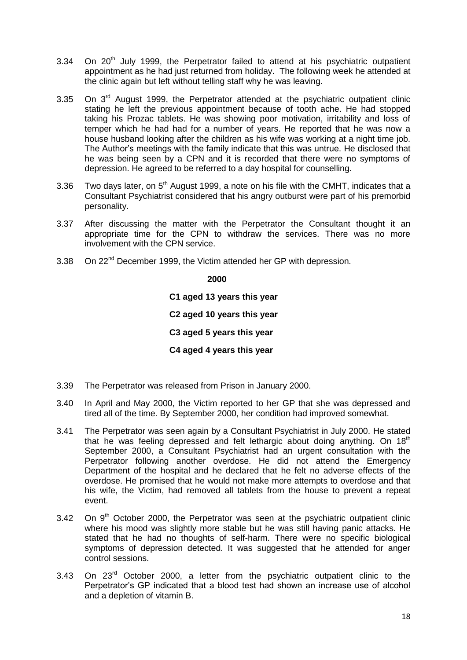- $3.34$  On  $20<sup>th</sup>$  July 1999, the Perpetrator failed to attend at his psychiatric outpatient appointment as he had just returned from holiday. The following week he attended at the clinic again but left without telling staff why he was leaving.
- 3.35 On 3<sup>rd</sup> August 1999, the Perpetrator attended at the psychiatric outpatient clinic stating he left the previous appointment because of tooth ache. He had stopped taking his Prozac tablets. He was showing poor motivation, irritability and loss of temper which he had had for a number of years. He reported that he was now a house husband looking after the children as his wife was working at a night time job. The Author's meetings with the family indicate that this was untrue. He disclosed that he was being seen by a CPN and it is recorded that there were no symptoms of depression. He agreed to be referred to a day hospital for counselling.
- 3.36 Two days later, on  $5<sup>th</sup>$  August 1999, a note on his file with the CMHT, indicates that a Consultant Psychiatrist considered that his angry outburst were part of his premorbid personality.
- 3.37 After discussing the matter with the Perpetrator the Consultant thought it an appropriate time for the CPN to withdraw the services. There was no more involvement with the CPN service.
- 3.38 On 22<sup>nd</sup> December 1999, the Victim attended her GP with depression.

 **2000 C1 aged 13 years this year C2 aged 10 years this year C3 aged 5 years this year C4 aged 4 years this year** 

- 3.39 The Perpetrator was released from Prison in January 2000.
- 3.40 In April and May 2000, the Victim reported to her GP that she was depressed and tired all of the time. By September 2000, her condition had improved somewhat.
- 3.41 The Perpetrator was seen again by a Consultant Psychiatrist in July 2000. He stated that he was feeling depressed and felt lethargic about doing anything. On  $18<sup>th</sup>$ September 2000, a Consultant Psychiatrist had an urgent consultation with the Perpetrator following another overdose. He did not attend the Emergency Department of the hospital and he declared that he felt no adverse effects of the overdose. He promised that he would not make more attempts to overdose and that his wife, the Victim, had removed all tablets from the house to prevent a repeat event.
- $3.42$  On  $9<sup>th</sup>$  October 2000, the Perpetrator was seen at the psychiatric outpatient clinic where his mood was slightly more stable but he was still having panic attacks. He stated that he had no thoughts of self-harm. There were no specific biological symptoms of depression detected. It was suggested that he attended for anger control sessions.
- 3.43 On 23<sup>rd</sup> October 2000, a letter from the psychiatric outpatient clinic to the Perpetrator's GP indicated that a blood test had shown an increase use of alcohol and a depletion of vitamin B.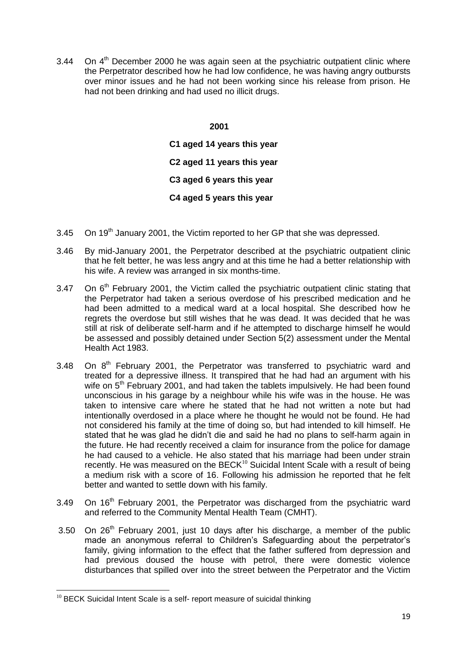3.44 On  $4<sup>th</sup>$  December 2000 he was again seen at the psychiatric outpatient clinic where the Perpetrator described how he had low confidence, he was having angry outbursts over minor issues and he had not been working since his release from prison. He had not been drinking and had used no illicit drugs.

> **2001 C1 aged 14 years this year C2 aged 11 years this year C3 aged 6 years this year C4 aged 5 years this year**

- 3.45 On  $19<sup>th</sup>$  January 2001, the Victim reported to her GP that she was depressed.
- 3.46 By mid-January 2001, the Perpetrator described at the psychiatric outpatient clinic that he felt better, he was less angry and at this time he had a better relationship with his wife. A review was arranged in six months-time.
- 3.47 On 6<sup>th</sup> February 2001, the Victim called the psychiatric outpatient clinic stating that the Perpetrator had taken a serious overdose of his prescribed medication and he had been admitted to a medical ward at a local hospital. She described how he regrets the overdose but still wishes that he was dead. It was decided that he was still at risk of deliberate self-harm and if he attempted to discharge himself he would be assessed and possibly detained under Section 5(2) assessment under the Mental Health Act 1983.
- 3.48 On  $8<sup>th</sup>$  February 2001, the Perpetrator was transferred to psychiatric ward and treated for a depressive illness. It transpired that he had had an argument with his wife on  $5<sup>th</sup>$  February 2001, and had taken the tablets impulsively. He had been found unconscious in his garage by a neighbour while his wife was in the house. He was taken to intensive care where he stated that he had not written a note but had intentionally overdosed in a place where he thought he would not be found. He had not considered his family at the time of doing so, but had intended to kill himself. He stated that he was glad he didn't die and said he had no plans to self-harm again in the future. He had recently received a claim for insurance from the police for damage he had caused to a vehicle. He also stated that his marriage had been under strain recently. He was measured on the BECK $10^6$  Suicidal Intent Scale with a result of being a medium risk with a score of 16. Following his admission he reported that he felt better and wanted to settle down with his family.
- 3.49 On  $16<sup>th</sup>$  February 2001, the Perpetrator was discharged from the psychiatric ward and referred to the Community Mental Health Team (CMHT).
- 3.50 On  $26<sup>th</sup>$  February 2001, just 10 days after his discharge, a member of the public made an anonymous referral to Children's Safeguarding about the perpetrator's family, giving information to the effect that the father suffered from depression and had previous doused the house with petrol, there were domestic violence disturbances that spilled over into the street between the Perpetrator and the Victim

**<sup>.</sup>**  $10$  BECK Suicidal Intent Scale is a self- report measure of suicidal thinking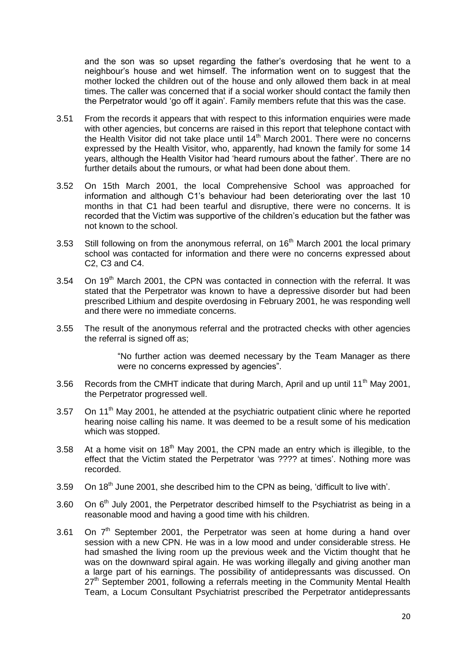and the son was so upset regarding the father's overdosing that he went to a neighbour's house and wet himself. The information went on to suggest that the mother locked the children out of the house and only allowed them back in at meal times. The caller was concerned that if a social worker should contact the family then the Perpetrator would 'go off it again'. Family members refute that this was the case.

- 3.51 From the records it appears that with respect to this information enquiries were made with other agencies, but concerns are raised in this report that telephone contact with the Health Visitor did not take place until  $14<sup>th</sup>$  March 2001. There were no concerns expressed by the Health Visitor, who, apparently, had known the family for some 14 years, although the Health Visitor had 'heard rumours about the father'. There are no further details about the rumours, or what had been done about them.
- 3.52 On 15th March 2001, the local Comprehensive School was approached for information and although C1's behaviour had been deteriorating over the last 10 months in that C1 had been tearful and disruptive, there were no concerns. It is recorded that the Victim was supportive of the children's education but the father was not known to the school.
- 3.53 Still following on from the anonymous referral, on  $16<sup>th</sup>$  March 2001 the local primary school was contacted for information and there were no concerns expressed about C2, C3 and C4.
- 3.54 On  $19<sup>th</sup>$  March 2001, the CPN was contacted in connection with the referral. It was stated that the Perpetrator was known to have a depressive disorder but had been prescribed Lithium and despite overdosing in February 2001, he was responding well and there were no immediate concerns.
- 3.55 The result of the anonymous referral and the protracted checks with other agencies the referral is signed off as:

"No further action was deemed necessary by the Team Manager as there were no concerns expressed by agencies".

- 3.56 Records from the CMHT indicate that during March, April and up until 11<sup>th</sup> May 2001, the Perpetrator progressed well.
- 3.57 On 11<sup>th</sup> May 2001, he attended at the psychiatric outpatient clinic where he reported hearing noise calling his name. It was deemed to be a result some of his medication which was stopped.
- 3.58 At a home visit on  $18<sup>th</sup>$  May 2001, the CPN made an entry which is illegible, to the effect that the Victim stated the Perpetrator 'was ???? at times'. Nothing more was recorded.
- 3.59 On 18<sup>th</sup> June 2001, she described him to the CPN as being, 'difficult to live with'.
- 3.60 On  $6<sup>th</sup>$  July 2001, the Perpetrator described himself to the Psychiatrist as being in a reasonable mood and having a good time with his children.
- 3.61 On  $7<sup>th</sup>$  September 2001, the Perpetrator was seen at home during a hand over session with a new CPN. He was in a low mood and under considerable stress. He had smashed the living room up the previous week and the Victim thought that he was on the downward spiral again. He was working illegally and giving another man a large part of his earnings. The possibility of antidepressants was discussed. On  $27<sup>th</sup>$  September 2001, following a referrals meeting in the Community Mental Health Team, a Locum Consultant Psychiatrist prescribed the Perpetrator antidepressants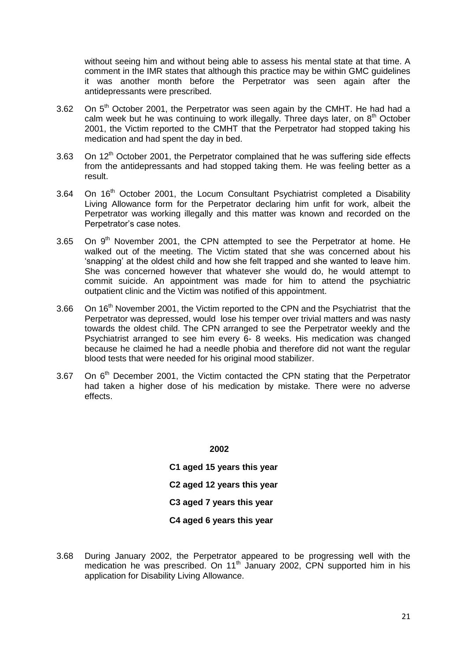without seeing him and without being able to assess his mental state at that time. A comment in the IMR states that although this practice may be within GMC guidelines it was another month before the Perpetrator was seen again after the antidepressants were prescribed.

- 3.62 On  $5<sup>th</sup>$  October 2001, the Perpetrator was seen again by the CMHT. He had had a calm week but he was continuing to work illegally. Three days later, on 8<sup>th</sup> October 2001, the Victim reported to the CMHT that the Perpetrator had stopped taking his medication and had spent the day in bed.
- 3.63 On  $12<sup>th</sup>$  October 2001, the Perpetrator complained that he was suffering side effects from the antidepressants and had stopped taking them. He was feeling better as a result.
- 3.64 On 16<sup>th</sup> October 2001, the Locum Consultant Psychiatrist completed a Disability Living Allowance form for the Perpetrator declaring him unfit for work, albeit the Perpetrator was working illegally and this matter was known and recorded on the Perpetrator's case notes.
- 3.65 On  $9<sup>th</sup>$  November 2001, the CPN attempted to see the Perpetrator at home. He walked out of the meeting. The Victim stated that she was concerned about his 'snapping' at the oldest child and how she felt trapped and she wanted to leave him. She was concerned however that whatever she would do, he would attempt to commit suicide. An appointment was made for him to attend the psychiatric outpatient clinic and the Victim was notified of this appointment.
- 3.66 On 16<sup>th</sup> November 2001, the Victim reported to the CPN and the Psychiatrist that the Perpetrator was depressed, would lose his temper over trivial matters and was nasty towards the oldest child. The CPN arranged to see the Perpetrator weekly and the Psychiatrist arranged to see him every 6- 8 weeks. His medication was changed because he claimed he had a needle phobia and therefore did not want the regular blood tests that were needed for his original mood stabilizer.
- 3.67 On 6<sup>th</sup> December 2001, the Victim contacted the CPN stating that the Perpetrator had taken a higher dose of his medication by mistake. There were no adverse effects.

#### **2002**

**C1 aged 15 years this year C2 aged 12 years this year C3 aged 7 years this year C4 aged 6 years this year**

3.68 During January 2002, the Perpetrator appeared to be progressing well with the medication he was prescribed. On 11<sup>th</sup> January 2002, CPN supported him in his application for Disability Living Allowance.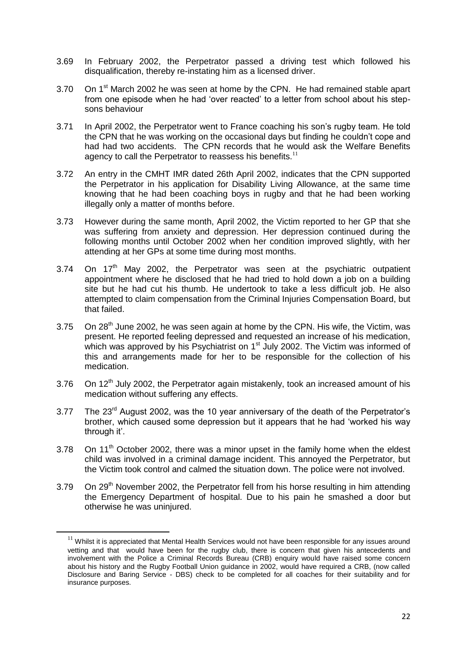- 3.69 In February 2002, the Perpetrator passed a driving test which followed his disqualification, thereby re-instating him as a licensed driver.
- 3.70 On 1<sup>st</sup> March 2002 he was seen at home by the CPN. He had remained stable apart from one episode when he had 'over reacted' to a letter from school about his stepsons behaviour
- 3.71 In April 2002, the Perpetrator went to France coaching his son's rugby team. He told the CPN that he was working on the occasional days but finding he couldn't cope and had had two accidents. The CPN records that he would ask the Welfare Benefits agency to call the Perpetrator to reassess his benefits.<sup>11</sup>
- 3.72 An entry in the CMHT IMR dated 26th April 2002, indicates that the CPN supported the Perpetrator in his application for Disability Living Allowance, at the same time knowing that he had been coaching boys in rugby and that he had been working illegally only a matter of months before.
- 3.73 However during the same month, April 2002, the Victim reported to her GP that she was suffering from anxiety and depression. Her depression continued during the following months until October 2002 when her condition improved slightly, with her attending at her GPs at some time during most months.
- 3.74 On  $17<sup>th</sup>$  May 2002, the Perpetrator was seen at the psychiatric outpatient appointment where he disclosed that he had tried to hold down a job on a building site but he had cut his thumb. He undertook to take a less difficult job. He also attempted to claim compensation from the Criminal Injuries Compensation Board, but that failed.
- 3.75 On  $28<sup>th</sup>$  June 2002, he was seen again at home by the CPN. His wife, the Victim, was present. He reported feeling depressed and requested an increase of his medication, which was approved by his Psychiatrist on 1<sup>st</sup> July 2002. The Victim was informed of this and arrangements made for her to be responsible for the collection of his medication.
- 3.76 On  $12<sup>th</sup>$  July 2002, the Perpetrator again mistakenly, took an increased amount of his medication without suffering any effects.
- 3.77 The 23<sup>rd</sup> August 2002, was the 10 year anniversary of the death of the Perpetrator's brother, which caused some depression but it appears that he had 'worked his way through it'.
- 3.78 On 11<sup>th</sup> October 2002, there was a minor upset in the family home when the eldest child was involved in a criminal damage incident. This annoyed the Perpetrator, but the Victim took control and calmed the situation down. The police were not involved.
- 3.79 On  $29<sup>th</sup>$  November 2002, the Perpetrator fell from his horse resulting in him attending the Emergency Department of hospital. Due to his pain he smashed a door but otherwise he was uninjured.

 $11$  Whilst it is appreciated that Mental Health Services would not have been responsible for any issues around vetting and that would have been for the rugby club, there is concern that given his antecedents and involvement with the Police a Criminal Records Bureau (CRB) enquiry would have raised some concern about his history and the Rugby Football Union guidance in 2002, would have required a CRB, (now called Disclosure and Baring Service - DBS) check to be completed for all coaches for their suitability and for insurance purposes.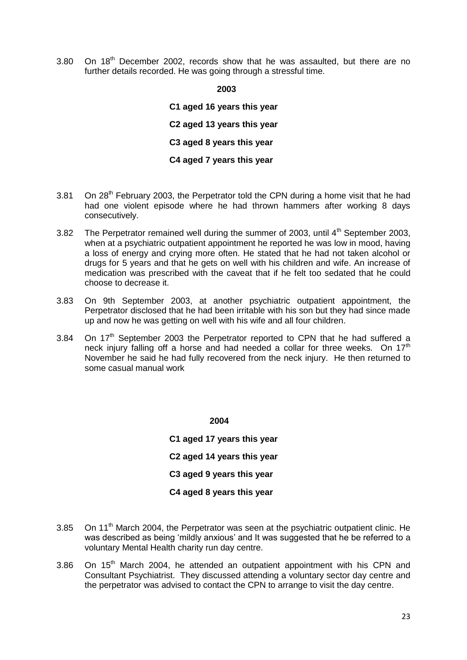3.80 On 18<sup>th</sup> December 2002, records show that he was assaulted, but there are no further details recorded. He was going through a stressful time.

**2003**

**C1 aged 16 years this year C2 aged 13 years this year C3 aged 8 years this year C4 aged 7 years this year**

- 3.81 On  $28<sup>th</sup>$  February 2003, the Perpetrator told the CPN during a home visit that he had had one violent episode where he had thrown hammers after working 8 days consecutively.
- 3.82 The Perpetrator remained well during the summer of 2003, until  $4<sup>th</sup>$  September 2003, when at a psychiatric outpatient appointment he reported he was low in mood, having a loss of energy and crying more often. He stated that he had not taken alcohol or drugs for 5 years and that he gets on well with his children and wife. An increase of medication was prescribed with the caveat that if he felt too sedated that he could choose to decrease it.
- 3.83 On 9th September 2003, at another psychiatric outpatient appointment, the Perpetrator disclosed that he had been irritable with his son but they had since made up and now he was getting on well with his wife and all four children.
- 3.84 On  $17<sup>th</sup>$  September 2003 the Perpetrator reported to CPN that he had suffered a neck injury falling off a horse and had needed a collar for three weeks. On  $17<sup>th</sup>$ November he said he had fully recovered from the neck injury. He then returned to some casual manual work

**2004**

**C1 aged 17 years this year C2 aged 14 years this year C3 aged 9 years this year C4 aged 8 years this year**

- 3.85 On 11<sup>th</sup> March 2004, the Perpetrator was seen at the psychiatric outpatient clinic. He was described as being 'mildly anxious' and It was suggested that he be referred to a voluntary Mental Health charity run day centre.
- 3.86 On 15<sup>th</sup> March 2004, he attended an outpatient appointment with his CPN and Consultant Psychiatrist. They discussed attending a voluntary sector day centre and the perpetrator was advised to contact the CPN to arrange to visit the day centre.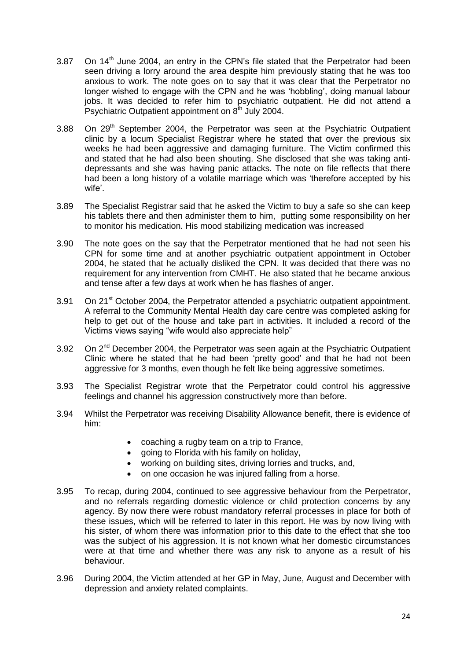- 3.87 On  $14<sup>th</sup>$  June 2004, an entry in the CPN's file stated that the Perpetrator had been seen driving a lorry around the area despite him previously stating that he was too anxious to work. The note goes on to say that it was clear that the Perpetrator no longer wished to engage with the CPN and he was 'hobbling', doing manual labour jobs. It was decided to refer him to psychiatric outpatient. He did not attend a Psychiatric Outpatient appointment on  $8<sup>th</sup>$  July 2004.
- 3.88 On  $29<sup>th</sup>$  September 2004, the Perpetrator was seen at the Psychiatric Outpatient clinic by a locum Specialist Registrar where he stated that over the previous six weeks he had been aggressive and damaging furniture. The Victim confirmed this and stated that he had also been shouting. She disclosed that she was taking antidepressants and she was having panic attacks. The note on file reflects that there had been a long history of a volatile marriage which was 'therefore accepted by his wife'.
- 3.89 The Specialist Registrar said that he asked the Victim to buy a safe so she can keep his tablets there and then administer them to him, putting some responsibility on her to monitor his medication. His mood stabilizing medication was increased
- 3.90 The note goes on the say that the Perpetrator mentioned that he had not seen his CPN for some time and at another psychiatric outpatient appointment in October 2004, he stated that he actually disliked the CPN. It was decided that there was no requirement for any intervention from CMHT. He also stated that he became anxious and tense after a few days at work when he has flashes of anger.
- 3.91 On 21<sup>st</sup> October 2004, the Perpetrator attended a psychiatric outpatient appointment. A referral to the Community Mental Health day care centre was completed asking for help to get out of the house and take part in activities. It included a record of the Victims views saying "wife would also appreciate help"
- 3.92 On 2<sup>nd</sup> December 2004, the Perpetrator was seen again at the Psychiatric Outpatient Clinic where he stated that he had been 'pretty good' and that he had not been aggressive for 3 months, even though he felt like being aggressive sometimes.
- 3.93 The Specialist Registrar wrote that the Perpetrator could control his aggressive feelings and channel his aggression constructively more than before.
- 3.94 Whilst the Perpetrator was receiving Disability Allowance benefit, there is evidence of him:
	- coaching a rugby team on a trip to France,
	- going to Florida with his family on holiday,
	- working on building sites, driving lorries and trucks, and,
	- on one occasion he was injured falling from a horse.
- 3.95 To recap, during 2004, continued to see aggressive behaviour from the Perpetrator, and no referrals regarding domestic violence or child protection concerns by any agency. By now there were robust mandatory referral processes in place for both of these issues, which will be referred to later in this report. He was by now living with his sister, of whom there was information prior to this date to the effect that she too was the subject of his aggression. It is not known what her domestic circumstances were at that time and whether there was any risk to anyone as a result of his behaviour.
- 3.96 During 2004, the Victim attended at her GP in May, June, August and December with depression and anxiety related complaints.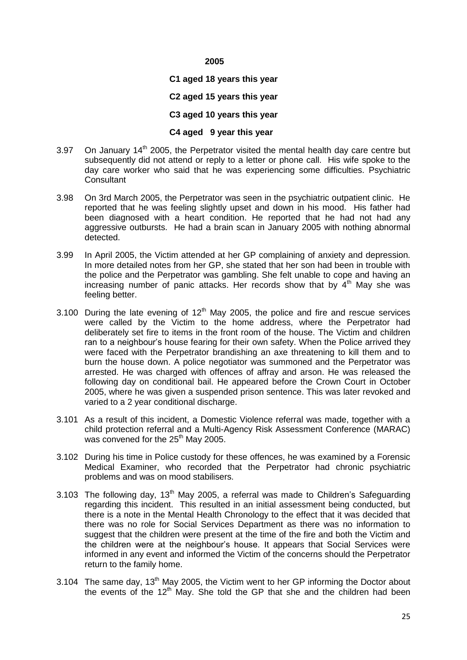#### **C1 aged 18 years this year**

#### **C2 aged 15 years this year**

#### **C3 aged 10 years this year**

### **C4 aged 9 year this year**

- 3.97 On January  $14<sup>th</sup>$  2005, the Perpetrator visited the mental health day care centre but subsequently did not attend or reply to a letter or phone call. His wife spoke to the day care worker who said that he was experiencing some difficulties. Psychiatric **Consultant**
- 3.98 On 3rd March 2005, the Perpetrator was seen in the psychiatric outpatient clinic. He reported that he was feeling slightly upset and down in his mood. His father had been diagnosed with a heart condition. He reported that he had not had any aggressive outbursts. He had a brain scan in January 2005 with nothing abnormal detected.
- 3.99 In April 2005, the Victim attended at her GP complaining of anxiety and depression. In more detailed notes from her GP, she stated that her son had been in trouble with the police and the Perpetrator was gambling. She felt unable to cope and having an increasing number of panic attacks. Her records show that by  $4<sup>th</sup>$  May she was feeling better.
- 3.100 During the late evening of  $12<sup>th</sup>$  May 2005, the police and fire and rescue services were called by the Victim to the home address, where the Perpetrator had deliberately set fire to items in the front room of the house. The Victim and children ran to a neighbour's house fearing for their own safety. When the Police arrived they were faced with the Perpetrator brandishing an axe threatening to kill them and to burn the house down. A police negotiator was summoned and the Perpetrator was arrested. He was charged with offences of affray and arson. He was released the following day on conditional bail. He appeared before the Crown Court in October 2005, where he was given a suspended prison sentence. This was later revoked and varied to a 2 year conditional discharge.
- 3.101 As a result of this incident, a Domestic Violence referral was made, together with a child protection referral and a Multi-Agency Risk Assessment Conference (MARAC) was convened for the 25<sup>th</sup> May 2005.
- 3.102 During his time in Police custody for these offences, he was examined by a Forensic Medical Examiner, who recorded that the Perpetrator had chronic psychiatric problems and was on mood stabilisers.
- 3.103 The following day,  $13<sup>th</sup>$  May 2005, a referral was made to Children's Safeguarding regarding this incident. This resulted in an initial assessment being conducted, but there is a note in the Mental Health Chronology to the effect that it was decided that there was no role for Social Services Department as there was no information to suggest that the children were present at the time of the fire and both the Victim and the children were at the neighbour's house. It appears that Social Services were informed in any event and informed the Victim of the concerns should the Perpetrator return to the family home.
- 3.104 The same day,  $13<sup>th</sup>$  May 2005, the Victim went to her GP informing the Doctor about the events of the  $12<sup>th</sup>$  May. She told the GP that she and the children had been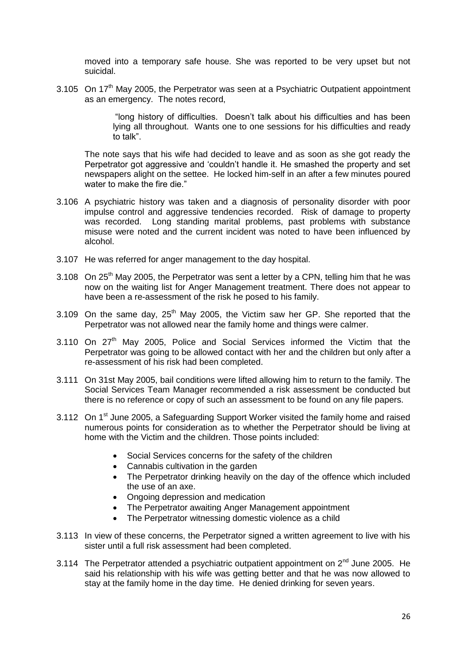moved into a temporary safe house. She was reported to be very upset but not suicidal.

3.105 On  $17<sup>th</sup>$  May 2005, the Perpetrator was seen at a Psychiatric Outpatient appointment as an emergency. The notes record,

> "long history of difficulties. Doesn't talk about his difficulties and has been lying all throughout. Wants one to one sessions for his difficulties and ready to talk".

The note says that his wife had decided to leave and as soon as she got ready the Perpetrator got aggressive and 'couldn't handle it. He smashed the property and set newspapers alight on the settee. He locked him-self in an after a few minutes poured water to make the fire die."

- 3.106 A psychiatric history was taken and a diagnosis of personality disorder with poor impulse control and aggressive tendencies recorded. Risk of damage to property was recorded. Long standing marital problems, past problems with substance misuse were noted and the current incident was noted to have been influenced by alcohol.
- 3.107 He was referred for anger management to the day hospital.
- 3.108 On  $25<sup>th</sup>$  May 2005, the Perpetrator was sent a letter by a CPN, telling him that he was now on the waiting list for Anger Management treatment. There does not appear to have been a re-assessment of the risk he posed to his family.
- 3.109 On the same day,  $25<sup>th</sup>$  May 2005, the Victim saw her GP. She reported that the Perpetrator was not allowed near the family home and things were calmer.
- 3.110 On 27<sup>th</sup> May 2005, Police and Social Services informed the Victim that the Perpetrator was going to be allowed contact with her and the children but only after a re-assessment of his risk had been completed.
- 3.111 On 31st May 2005, bail conditions were lifted allowing him to return to the family. The Social Services Team Manager recommended a risk assessment be conducted but there is no reference or copy of such an assessment to be found on any file papers.
- 3.112 On 1<sup>st</sup> June 2005, a Safeguarding Support Worker visited the family home and raised numerous points for consideration as to whether the Perpetrator should be living at home with the Victim and the children. Those points included:
	- Social Services concerns for the safety of the children
	- Cannabis cultivation in the garden
	- The Perpetrator drinking heavily on the day of the offence which included the use of an axe.
	- Ongoing depression and medication
	- The Perpetrator awaiting Anger Management appointment
	- The Perpetrator witnessing domestic violence as a child
- 3.113 In view of these concerns, the Perpetrator signed a written agreement to live with his sister until a full risk assessment had been completed.
- 3.114 The Perpetrator attended a psychiatric outpatient appointment on  $2^{nd}$  June 2005. He said his relationship with his wife was getting better and that he was now allowed to stay at the family home in the day time. He denied drinking for seven years.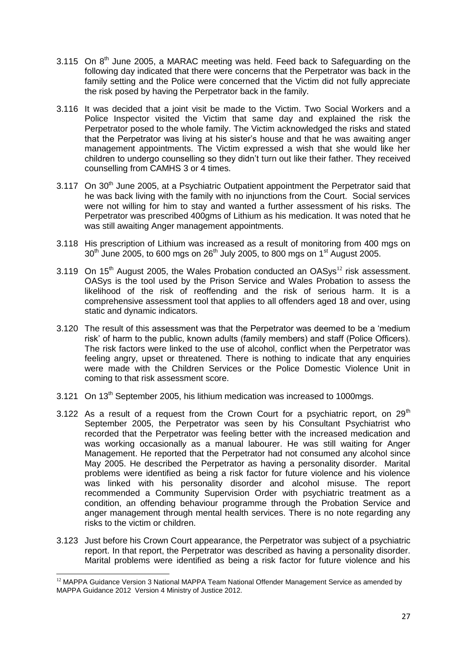- 3.115 On  $8<sup>th</sup>$  June 2005, a MARAC meeting was held. Feed back to Safeguarding on the following day indicated that there were concerns that the Perpetrator was back in the family setting and the Police were concerned that the Victim did not fully appreciate the risk posed by having the Perpetrator back in the family.
- 3.116 It was decided that a joint visit be made to the Victim. Two Social Workers and a Police Inspector visited the Victim that same day and explained the risk the Perpetrator posed to the whole family. The Victim acknowledged the risks and stated that the Perpetrator was living at his sister's house and that he was awaiting anger management appointments. The Victim expressed a wish that she would like her children to undergo counselling so they didn't turn out like their father. They received counselling from CAMHS 3 or 4 times.
- 3.117 On 30<sup>th</sup> June 2005, at a Psychiatric Outpatient appointment the Perpetrator said that he was back living with the family with no injunctions from the Court. Social services were not willing for him to stay and wanted a further assessment of his risks. The Perpetrator was prescribed 400gms of Lithium as his medication. It was noted that he was still awaiting Anger management appointments.
- 3.118 His prescription of Lithium was increased as a result of monitoring from 400 mgs on  $30<sup>th</sup>$  June 2005, to 600 mgs on 26<sup>th</sup> July 2005, to 800 mgs on 1<sup>st</sup> August 2005.
- 3.119 On  $15<sup>th</sup>$  August 2005, the Wales Probation conducted an OASvs<sup>12</sup> risk assessment. OASys is the tool used by the Prison Service and Wales Probation to assess the likelihood of the risk of reoffending and the risk of serious harm. It is a comprehensive assessment tool that applies to all offenders aged 18 and over, using static and dynamic indicators.
- 3.120 The result of this assessment was that the Perpetrator was deemed to be a 'medium risk' of harm to the public, known adults (family members) and staff (Police Officers). The risk factors were linked to the use of alcohol, conflict when the Perpetrator was feeling angry, upset or threatened. There is nothing to indicate that any enquiries were made with the Children Services or the Police Domestic Violence Unit in coming to that risk assessment score.
- 3.121 On 13<sup>th</sup> September 2005, his lithium medication was increased to 1000mgs.
- 3.122 As a result of a request from the Crown Court for a psychiatric report, on 29<sup>th</sup> September 2005, the Perpetrator was seen by his Consultant Psychiatrist who recorded that the Perpetrator was feeling better with the increased medication and was working occasionally as a manual labourer. He was still waiting for Anger Management. He reported that the Perpetrator had not consumed any alcohol since May 2005. He described the Perpetrator as having a personality disorder. Marital problems were identified as being a risk factor for future violence and his violence was linked with his personality disorder and alcohol misuse. The report recommended a Community Supervision Order with psychiatric treatment as a condition, an offending behaviour programme through the Probation Service and anger management through mental health services. There is no note regarding any risks to the victim or children.
- 3.123 Just before his Crown Court appearance, the Perpetrator was subject of a psychiatric report. In that report, the Perpetrator was described as having a personality disorder. Marital problems were identified as being a risk factor for future violence and his

<sup>1</sup>  $12$  MAPPA Guidance Version 3 National MAPPA Team National Offender Management Service as amended by MAPPA Guidance 2012 Version 4 Ministry of Justice 2012.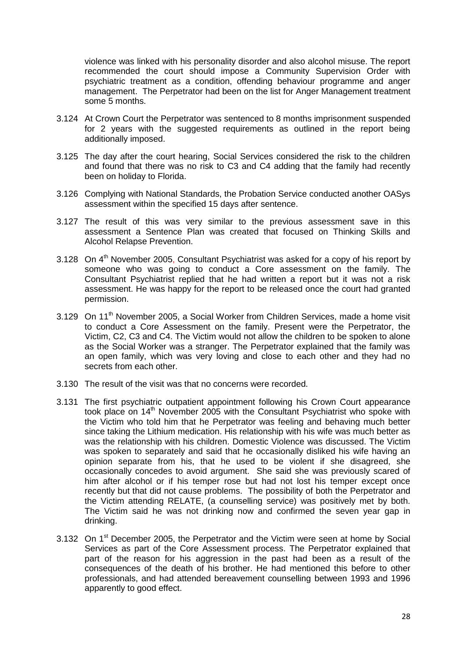violence was linked with his personality disorder and also alcohol misuse. The report recommended the court should impose a Community Supervision Order with psychiatric treatment as a condition, offending behaviour programme and anger management. The Perpetrator had been on the list for Anger Management treatment some 5 months.

- 3.124 At Crown Court the Perpetrator was sentenced to 8 months imprisonment suspended for 2 years with the suggested requirements as outlined in the report being additionally imposed.
- 3.125 The day after the court hearing, Social Services considered the risk to the children and found that there was no risk to C3 and C4 adding that the family had recently been on holiday to Florida.
- 3.126 Complying with National Standards, the Probation Service conducted another OASys assessment within the specified 15 days after sentence.
- 3.127 The result of this was very similar to the previous assessment save in this assessment a Sentence Plan was created that focused on Thinking Skills and Alcohol Relapse Prevention.
- 3.128 On  $4<sup>th</sup>$  November 2005, Consultant Psychiatrist was asked for a copy of his report by someone who was going to conduct a Core assessment on the family. The Consultant Psychiatrist replied that he had written a report but it was not a risk assessment. He was happy for the report to be released once the court had granted permission.
- 3.129 On 11<sup>th</sup> November 2005, a Social Worker from Children Services, made a home visit to conduct a Core Assessment on the family. Present were the Perpetrator, the Victim, C2, C3 and C4. The Victim would not allow the children to be spoken to alone as the Social Worker was a stranger. The Perpetrator explained that the family was an open family, which was very loving and close to each other and they had no secrets from each other.
- 3.130 The result of the visit was that no concerns were recorded.
- 3.131 The first psychiatric outpatient appointment following his Crown Court appearance took place on 14<sup>th</sup> November 2005 with the Consultant Psychiatrist who spoke with the Victim who told him that he Perpetrator was feeling and behaving much better since taking the Lithium medication. His relationship with his wife was much better as was the relationship with his children. Domestic Violence was discussed. The Victim was spoken to separately and said that he occasionally disliked his wife having an opinion separate from his, that he used to be violent if she disagreed, she occasionally concedes to avoid argument. She said she was previously scared of him after alcohol or if his temper rose but had not lost his temper except once recently but that did not cause problems. The possibility of both the Perpetrator and the Victim attending RELATE, (a counselling service) was positively met by both. The Victim said he was not drinking now and confirmed the seven year gap in drinking.
- 3.132 On 1<sup>st</sup> December 2005, the Perpetrator and the Victim were seen at home by Social Services as part of the Core Assessment process. The Perpetrator explained that part of the reason for his aggression in the past had been as a result of the consequences of the death of his brother. He had mentioned this before to other professionals, and had attended bereavement counselling between 1993 and 1996 apparently to good effect.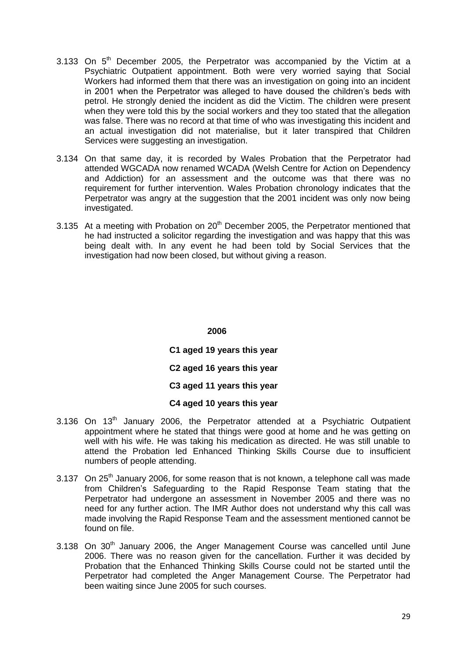- 3.133 On  $5<sup>th</sup>$  December 2005, the Perpetrator was accompanied by the Victim at a Psychiatric Outpatient appointment. Both were very worried saying that Social Workers had informed them that there was an investigation on going into an incident in 2001 when the Perpetrator was alleged to have doused the children's beds with petrol. He strongly denied the incident as did the Victim. The children were present when they were told this by the social workers and they too stated that the allegation was false. There was no record at that time of who was investigating this incident and an actual investigation did not materialise, but it later transpired that Children Services were suggesting an investigation.
- 3.134 On that same day, it is recorded by Wales Probation that the Perpetrator had attended WGCADA now renamed WCADA (Welsh Centre for Action on Dependency and Addiction) for an assessment and the outcome was that there was no requirement for further intervention. Wales Probation chronology indicates that the Perpetrator was angry at the suggestion that the 2001 incident was only now being investigated.
- 3.135 At a meeting with Probation on  $20<sup>th</sup>$  December 2005, the Perpetrator mentioned that he had instructed a solicitor regarding the investigation and was happy that this was being dealt with. In any event he had been told by Social Services that the investigation had now been closed, but without giving a reason.

**C1 aged 19 years this year C2 aged 16 years this year C3 aged 11 years this year C4 aged 10 years this year**

- $3.136$  On  $13<sup>th</sup>$  January 2006, the Perpetrator attended at a Psychiatric Outpatient appointment where he stated that things were good at home and he was getting on well with his wife. He was taking his medication as directed. He was still unable to attend the Probation led Enhanced Thinking Skills Course due to insufficient numbers of people attending.
- 3.137 On  $25<sup>th</sup>$  January 2006, for some reason that is not known, a telephone call was made from Children's Safeguarding to the Rapid Response Team stating that the Perpetrator had undergone an assessment in November 2005 and there was no need for any further action. The IMR Author does not understand why this call was made involving the Rapid Response Team and the assessment mentioned cannot be found on file.
- $3.138$  On  $30<sup>th</sup>$  January 2006, the Anger Management Course was cancelled until June 2006. There was no reason given for the cancellation. Further it was decided by Probation that the Enhanced Thinking Skills Course could not be started until the Perpetrator had completed the Anger Management Course. The Perpetrator had been waiting since June 2005 for such courses.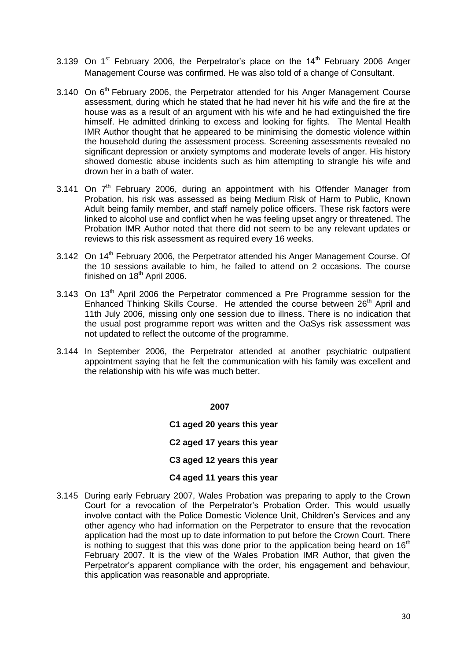- 3.139 On  $1<sup>st</sup>$  February 2006, the Perpetrator's place on the  $14<sup>th</sup>$  February 2006 Anger Management Course was confirmed. He was also told of a change of Consultant.
- 3.140 On 6<sup>th</sup> February 2006, the Perpetrator attended for his Anger Management Course assessment, during which he stated that he had never hit his wife and the fire at the house was as a result of an argument with his wife and he had extinguished the fire himself. He admitted drinking to excess and looking for fights. The Mental Health IMR Author thought that he appeared to be minimising the domestic violence within the household during the assessment process. Screening assessments revealed no significant depression or anxiety symptoms and moderate levels of anger. His history showed domestic abuse incidents such as him attempting to strangle his wife and drown her in a bath of water.
- 3.141 On  $7<sup>th</sup>$  February 2006, during an appointment with his Offender Manager from Probation, his risk was assessed as being Medium Risk of Harm to Public, Known Adult being family member, and staff namely police officers. These risk factors were linked to alcohol use and conflict when he was feeling upset angry or threatened. The Probation IMR Author noted that there did not seem to be any relevant updates or reviews to this risk assessment as required every 16 weeks.
- 3.142 On 14<sup>th</sup> February 2006, the Perpetrator attended his Anger Management Course. Of the 10 sessions available to him, he failed to attend on 2 occasions. The course finished on  $18<sup>th</sup>$  April 2006.
- 3.143 On 13<sup>th</sup> April 2006 the Perpetrator commenced a Pre Programme session for the Enhanced Thinking Skills Course. He attended the course between 26<sup>th</sup> April and 11th July 2006, missing only one session due to illness. There is no indication that the usual post programme report was written and the OaSys risk assessment was not updated to reflect the outcome of the programme.
- 3.144 In September 2006, the Perpetrator attended at another psychiatric outpatient appointment saying that he felt the communication with his family was excellent and the relationship with his wife was much better.

**C1 aged 20 years this year**

**C2 aged 17 years this year** 

#### **C3 aged 12 years this year**

#### **C4 aged 11 years this year**

3.145 During early February 2007, Wales Probation was preparing to apply to the Crown Court for a revocation of the Perpetrator's Probation Order. This would usually involve contact with the Police Domestic Violence Unit, Children's Services and any other agency who had information on the Perpetrator to ensure that the revocation application had the most up to date information to put before the Crown Court. There is nothing to suggest that this was done prior to the application being heard on  $16<sup>th</sup>$ February 2007. It is the view of the Wales Probation IMR Author, that given the Perpetrator's apparent compliance with the order, his engagement and behaviour, this application was reasonable and appropriate.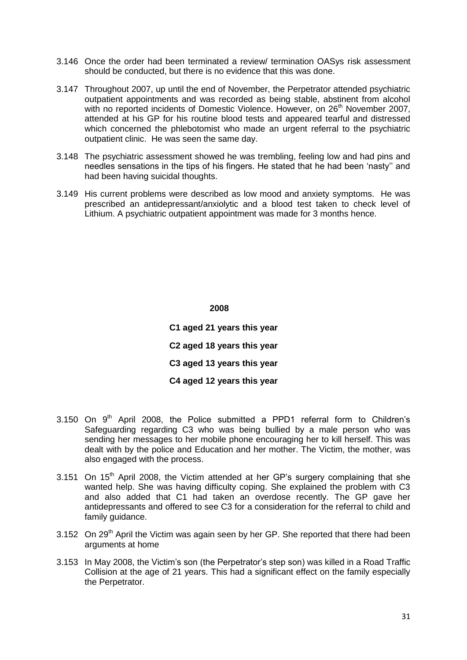- 3.146 Once the order had been terminated a review/ termination OASys risk assessment should be conducted, but there is no evidence that this was done.
- 3.147 Throughout 2007, up until the end of November, the Perpetrator attended psychiatric outpatient appointments and was recorded as being stable, abstinent from alcohol with no reported incidents of Domestic Violence. However, on 26<sup>th</sup> November 2007, attended at his GP for his routine blood tests and appeared tearful and distressed which concerned the phlebotomist who made an urgent referral to the psychiatric outpatient clinic. He was seen the same day.
- 3.148 The psychiatric assessment showed he was trembling, feeling low and had pins and needles sensations in the tips of his fingers. He stated that he had been 'nasty'' and had been having suicidal thoughts.
- 3.149 His current problems were described as low mood and anxiety symptoms. He was prescribed an antidepressant/anxiolytic and a blood test taken to check level of Lithium. A psychiatric outpatient appointment was made for 3 months hence.

**C1 aged 21 years this year C2 aged 18 years this year C3 aged 13 years this year C4 aged 12 years this year**

- 3.150 On  $9<sup>th</sup>$  April 2008, the Police submitted a PPD1 referral form to Children's Safeguarding regarding C3 who was being bullied by a male person who was sending her messages to her mobile phone encouraging her to kill herself. This was dealt with by the police and Education and her mother. The Victim, the mother, was also engaged with the process.
- 3.151 On  $15<sup>th</sup>$  April 2008, the Victim attended at her GP's surgery complaining that she wanted help. She was having difficulty coping. She explained the problem with C3 and also added that C1 had taken an overdose recently. The GP gave her antidepressants and offered to see C3 for a consideration for the referral to child and family quidance.
- 3.152 On  $29<sup>th</sup>$  April the Victim was again seen by her GP. She reported that there had been arguments at home
- 3.153 In May 2008, the Victim's son (the Perpetrator's step son) was killed in a Road Traffic Collision at the age of 21 years. This had a significant effect on the family especially the Perpetrator.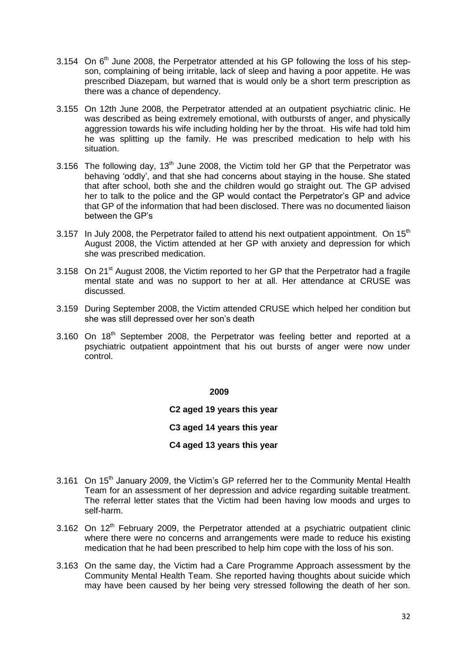- 3.154 On  $6<sup>th</sup>$  June 2008, the Perpetrator attended at his GP following the loss of his stepson, complaining of being irritable, lack of sleep and having a poor appetite. He was prescribed Diazepam, but warned that is would only be a short term prescription as there was a chance of dependency.
- 3.155 On 12th June 2008, the Perpetrator attended at an outpatient psychiatric clinic. He was described as being extremely emotional, with outbursts of anger, and physically aggression towards his wife including holding her by the throat. His wife had told him he was splitting up the family. He was prescribed medication to help with his situation.
- 3.156 The following day,  $13<sup>th</sup>$  June 2008, the Victim told her GP that the Perpetrator was behaving 'oddly', and that she had concerns about staying in the house. She stated that after school, both she and the children would go straight out. The GP advised her to talk to the police and the GP would contact the Perpetrator's GP and advice that GP of the information that had been disclosed. There was no documented liaison between the GP's
- 3.157 In July 2008, the Perpetrator failed to attend his next outpatient appointment. On  $15<sup>th</sup>$ August 2008, the Victim attended at her GP with anxiety and depression for which she was prescribed medication.
- 3.158 On 21<sup>st</sup> August 2008, the Victim reported to her GP that the Perpetrator had a fragile mental state and was no support to her at all. Her attendance at CRUSE was discussed.
- 3.159 During September 2008, the Victim attended CRUSE which helped her condition but she was still depressed over her son's death
- $3.160$  On  $18<sup>th</sup>$  September 2008, the Perpetrator was feeling better and reported at a psychiatric outpatient appointment that his out bursts of anger were now under control.

**C2 aged 19 years this year**

**C3 aged 14 years this year**

**C4 aged 13 years this year**

- 3.161 On 15<sup>th</sup> January 2009, the Victim's GP referred her to the Community Mental Health Team for an assessment of her depression and advice regarding suitable treatment. The referral letter states that the Victim had been having low moods and urges to self-harm.
- 3.162 On  $12<sup>th</sup>$  February 2009, the Perpetrator attended at a psychiatric outpatient clinic where there were no concerns and arrangements were made to reduce his existing medication that he had been prescribed to help him cope with the loss of his son.
- 3.163 On the same day, the Victim had a Care Programme Approach assessment by the Community Mental Health Team. She reported having thoughts about suicide which may have been caused by her being very stressed following the death of her son.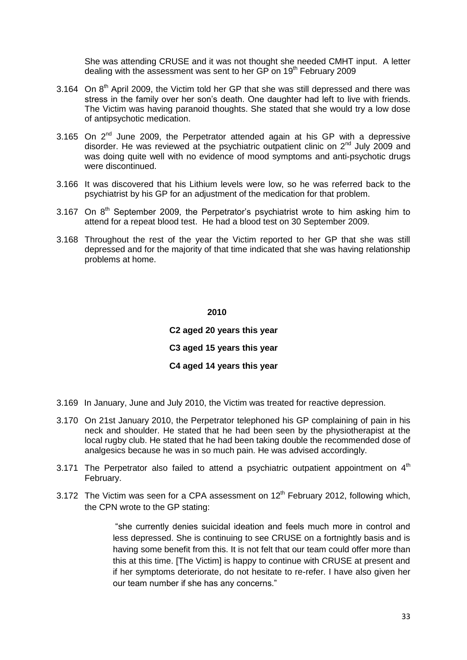She was attending CRUSE and it was not thought she needed CMHT input. A letter dealing with the assessment was sent to her GP on 19<sup>th</sup> February 2009

- 3.164 On 8<sup>th</sup> April 2009, the Victim told her GP that she was still depressed and there was stress in the family over her son's death. One daughter had left to live with friends. The Victim was having paranoid thoughts. She stated that she would try a low dose of antipsychotic medication.
- 3.165 On  $2^{nd}$  June 2009, the Perpetrator attended again at his GP with a depressive disorder. He was reviewed at the psychiatric outpatient clinic on  $2<sup>nd</sup>$  July 2009 and was doing quite well with no evidence of mood symptoms and anti-psychotic drugs were discontinued.
- 3.166 It was discovered that his Lithium levels were low, so he was referred back to the psychiatrist by his GP for an adjustment of the medication for that problem.
- 3.167 On  $8<sup>th</sup>$  September 2009, the Perpetrator's psychiatrist wrote to him asking him to attend for a repeat blood test. He had a blood test on 30 September 2009.
- 3.168 Throughout the rest of the year the Victim reported to her GP that she was still depressed and for the majority of that time indicated that she was having relationship problems at home.

 **2010**

**C2 aged 20 years this year C3 aged 15 years this year C4 aged 14 years this year**

- 3.169 In January, June and July 2010, the Victim was treated for reactive depression.
- 3.170 On 21st January 2010, the Perpetrator telephoned his GP complaining of pain in his neck and shoulder. He stated that he had been seen by the physiotherapist at the local rugby club. He stated that he had been taking double the recommended dose of analgesics because he was in so much pain. He was advised accordingly.
- 3.171 The Perpetrator also failed to attend a psychiatric outpatient appointment on  $4<sup>th</sup>$ February.
- 3.172 The Victim was seen for a CPA assessment on  $12<sup>th</sup>$  February 2012, following which, the CPN wrote to the GP stating:

"she currently denies suicidal ideation and feels much more in control and less depressed. She is continuing to see CRUSE on a fortnightly basis and is having some benefit from this. It is not felt that our team could offer more than this at this time. [The Victim] is happy to continue with CRUSE at present and if her symptoms deteriorate, do not hesitate to re-refer. I have also given her our team number if she has any concerns."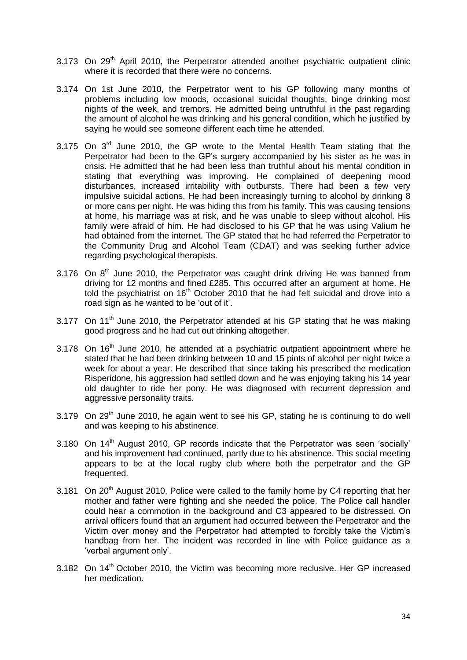- 3.173 On 29<sup>th</sup> April 2010, the Perpetrator attended another psychiatric outpatient clinic where it is recorded that there were no concerns.
- 3.174 On 1st June 2010, the Perpetrator went to his GP following many months of problems including low moods, occasional suicidal thoughts, binge drinking most nights of the week, and tremors. He admitted being untruthful in the past regarding the amount of alcohol he was drinking and his general condition, which he justified by saying he would see someone different each time he attended.
- $3.175$  On  $3<sup>rd</sup>$  June 2010, the GP wrote to the Mental Health Team stating that the Perpetrator had been to the GP's surgery accompanied by his sister as he was in crisis. He admitted that he had been less than truthful about his mental condition in stating that everything was improving. He complained of deepening mood disturbances, increased irritability with outbursts. There had been a few very impulsive suicidal actions. He had been increasingly turning to alcohol by drinking 8 or more cans per night. He was hiding this from his family. This was causing tensions at home, his marriage was at risk, and he was unable to sleep without alcohol. His family were afraid of him. He had disclosed to his GP that he was using Valium he had obtained from the internet. The GP stated that he had referred the Perpetrator to the Community Drug and Alcohol Team (CDAT) and was seeking further advice regarding psychological therapists.
- 3.176 On  $8<sup>th</sup>$  June 2010, the Perpetrator was caught drink driving He was banned from driving for 12 months and fined £285. This occurred after an argument at home. He told the psychiatrist on  $16<sup>th</sup>$  October 2010 that he had felt suicidal and drove into a road sign as he wanted to be 'out of it'.
- 3.177 On 11<sup>th</sup> June 2010, the Perpetrator attended at his GP stating that he was making good progress and he had cut out drinking altogether.
- $3.178$  On  $16<sup>th</sup>$  June 2010, he attended at a psychiatric outpatient appointment where he stated that he had been drinking between 10 and 15 pints of alcohol per night twice a week for about a year. He described that since taking his prescribed the medication Risperidone, his aggression had settled down and he was enjoying taking his 14 year old daughter to ride her pony. He was diagnosed with recurrent depression and aggressive personality traits.
- 3.179 On  $29<sup>th</sup>$  June 2010, he again went to see his GP, stating he is continuing to do well and was keeping to his abstinence.
- 3.180 On 14<sup>th</sup> August 2010, GP records indicate that the Perpetrator was seen 'socially' and his improvement had continued, partly due to his abstinence. This social meeting appears to be at the local rugby club where both the perpetrator and the GP frequented.
- 3.181 On 20<sup>th</sup> August 2010, Police were called to the family home by C4 reporting that her mother and father were fighting and she needed the police. The Police call handler could hear a commotion in the background and C3 appeared to be distressed. On arrival officers found that an argument had occurred between the Perpetrator and the Victim over money and the Perpetrator had attempted to forcibly take the Victim's handbag from her. The incident was recorded in line with Police guidance as a 'verbal argument only'.
- 3.182 On  $14<sup>th</sup>$  October 2010, the Victim was becoming more reclusive. Her GP increased her medication.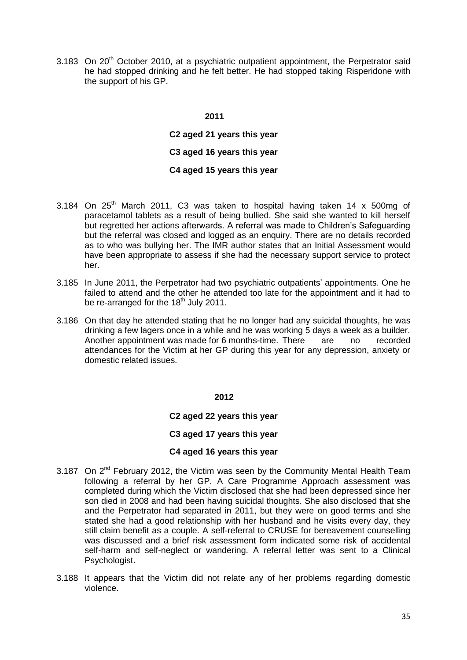3.183 On  $20<sup>th</sup>$  October 2010, at a psychiatric outpatient appointment, the Perpetrator said he had stopped drinking and he felt better. He had stopped taking Risperidone with the support of his GP.

#### **2011**

**C2 aged 21 years this year C3 aged 16 years this year C4 aged 15 years this year**

- 3.184 On  $25<sup>th</sup>$  March 2011, C3 was taken to hospital having taken 14 x 500mg of paracetamol tablets as a result of being bullied. She said she wanted to kill herself but regretted her actions afterwards. A referral was made to Children's Safeguarding but the referral was closed and logged as an enquiry. There are no details recorded as to who was bullying her. The IMR author states that an Initial Assessment would have been appropriate to assess if she had the necessary support service to protect her.
- 3.185 In June 2011, the Perpetrator had two psychiatric outpatients' appointments. One he failed to attend and the other he attended too late for the appointment and it had to be re-arranged for the 18<sup>th</sup> July 2011.
- 3.186 On that day he attended stating that he no longer had any suicidal thoughts, he was drinking a few lagers once in a while and he was working 5 days a week as a builder. Another appointment was made for 6 months-time. There are no recorded attendances for the Victim at her GP during this year for any depression, anxiety or domestic related issues.

 **2012**

#### **C2 aged 22 years this year**

#### **C3 aged 17 years this year**

#### **C4 aged 16 years this year**

- 3.187 On 2<sup>nd</sup> February 2012, the Victim was seen by the Community Mental Health Team following a referral by her GP. A Care Programme Approach assessment was completed during which the Victim disclosed that she had been depressed since her son died in 2008 and had been having suicidal thoughts. She also disclosed that she and the Perpetrator had separated in 2011, but they were on good terms and she stated she had a good relationship with her husband and he visits every day, they still claim benefit as a couple. A self-referral to CRUSE for bereavement counselling was discussed and a brief risk assessment form indicated some risk of accidental self-harm and self-neglect or wandering. A referral letter was sent to a Clinical Psychologist.
- 3.188 It appears that the Victim did not relate any of her problems regarding domestic violence.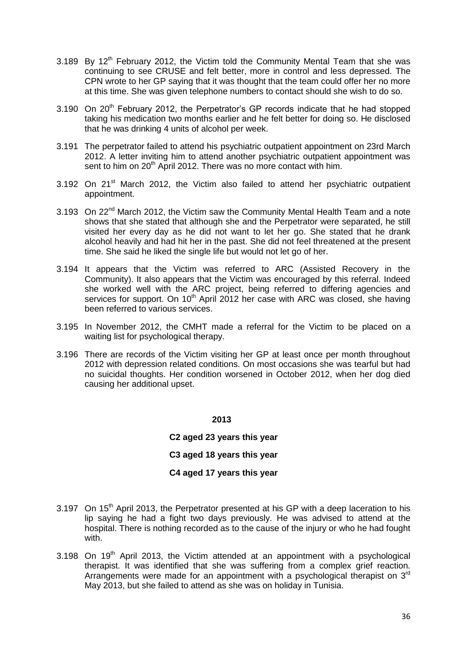- 3.189 By  $12<sup>th</sup>$  February 2012, the Victim told the Community Mental Team that she was continuing to see CRUSE and felt better, more in control and less depressed. The CPN wrote to her GP saying that it was thought that the team could offer her no more at this time. She was given telephone numbers to contact should she wish to do so.
- 3.190 On 20<sup>th</sup> February 2012, the Perpetrator's GP records indicate that he had stopped taking his medication two months earlier and he felt better for doing so. He disclosed that he was drinking 4 units of alcohol per week.
- 3.191 The perpetrator failed to attend his psychiatric outpatient appointment on 23rd March 2012. A letter inviting him to attend another psychiatric outpatient appointment was sent to him on 20<sup>th</sup> April 2012. There was no more contact with him.
- $3.192$  On  $21<sup>st</sup>$  March 2012, the Victim also failed to attend her psychiatric outpatient appointment.
- 3.193 On 22<sup>nd</sup> March 2012, the Victim saw the Community Mental Health Team and a note shows that she stated that although she and the Perpetrator were separated, he still visited her every day as he did not want to let her go. She stated that he drank alcohol heavily and had hit her in the past. She did not feel threatened at the present time. She said he liked the single life but would not let go of her.
- 3.194 It appears that the Victim was referred to ARC (Assisted Recovery in the Community). It also appears that the Victim was encouraged by this referral. Indeed she worked well with the ARC project, being referred to differing agencies and services for support. On 10<sup>th</sup> April 2012 her case with ARC was closed, she having been referred to various services.
- 3.195 In November 2012, the CMHT made a referral for the Victim to be placed on a waiting list for psychological therapy.
- 3.196 There are records of the Victim visiting her GP at least once per month throughout 2012 with depression related conditions. On most occasions she was tearful but had no suicidal thoughts. Her condition worsened in October 2012, when her dog died causing her additional upset.

**C2 aged 23 years this year C3 aged 18 years this year**

# **C4 aged 17 years this year**

- 3.197 On  $15<sup>th</sup>$  April 2013, the Perpetrator presented at his GP with a deep laceration to his lip saying he had a fight two days previously. He was advised to attend at the hospital. There is nothing recorded as to the cause of the injury or who he had fought with.
- $3.198$  On  $19<sup>th</sup>$  April 2013, the Victim attended at an appointment with a psychological therapist. It was identified that she was suffering from a complex grief reaction. Arrangements were made for an appointment with a psychological therapist on  $3<sup>rd</sup>$ May 2013, but she failed to attend as she was on holiday in Tunisia.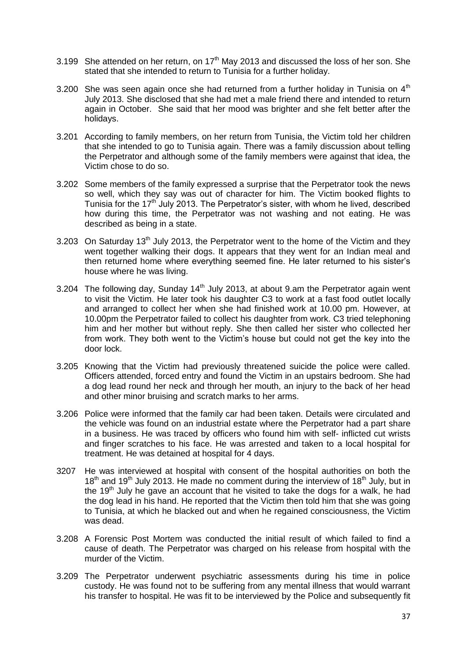- 3.199 She attended on her return, on  $17<sup>th</sup>$  May 2013 and discussed the loss of her son. She stated that she intended to return to Tunisia for a further holiday.
- 3.200 She was seen again once she had returned from a further holiday in Tunisia on  $4<sup>th</sup>$ July 2013. She disclosed that she had met a male friend there and intended to return again in October. She said that her mood was brighter and she felt better after the holidays.
- 3.201 According to family members, on her return from Tunisia, the Victim told her children that she intended to go to Tunisia again. There was a family discussion about telling the Perpetrator and although some of the family members were against that idea, the Victim chose to do so.
- 3.202 Some members of the family expressed a surprise that the Perpetrator took the news so well, which they say was out of character for him. The Victim booked flights to Tunisia for the  $17<sup>th</sup>$  July 2013. The Perpetrator's sister, with whom he lived, described how during this time, the Perpetrator was not washing and not eating. He was described as being in a state.
- 3.203 On Saturday  $13<sup>th</sup>$  July 2013, the Perpetrator went to the home of the Victim and they went together walking their dogs. It appears that they went for an Indian meal and then returned home where everything seemed fine. He later returned to his sister's house where he was living.
- 3.204 The following day, Sunday  $14<sup>th</sup>$  July 2013, at about 9.am the Perpetrator again went to visit the Victim. He later took his daughter C3 to work at a fast food outlet locally and arranged to collect her when she had finished work at 10.00 pm. However, at 10.00pm the Perpetrator failed to collect his daughter from work. C3 tried telephoning him and her mother but without reply. She then called her sister who collected her from work. They both went to the Victim's house but could not get the key into the door lock.
- 3.205 Knowing that the Victim had previously threatened suicide the police were called. Officers attended, forced entry and found the Victim in an upstairs bedroom. She had a dog lead round her neck and through her mouth, an injury to the back of her head and other minor bruising and scratch marks to her arms.
- 3.206 Police were informed that the family car had been taken. Details were circulated and the vehicle was found on an industrial estate where the Perpetrator had a part share in a business. He was traced by officers who found him with self- inflicted cut wrists and finger scratches to his face. He was arrested and taken to a local hospital for treatment. He was detained at hospital for 4 days.
- 3207 He was interviewed at hospital with consent of the hospital authorities on both the  $18<sup>th</sup>$  and  $19<sup>th</sup>$  July 2013. He made no comment during the interview of  $18<sup>th</sup>$  July, but in the 19<sup>th</sup> July he gave an account that he visited to take the dogs for a walk, he had the dog lead in his hand. He reported that the Victim then told him that she was going to Tunisia, at which he blacked out and when he regained consciousness, the Victim was dead.
- 3.208 A Forensic Post Mortem was conducted the initial result of which failed to find a cause of death. The Perpetrator was charged on his release from hospital with the murder of the Victim.
- 3.209 The Perpetrator underwent psychiatric assessments during his time in police custody. He was found not to be suffering from any mental illness that would warrant his transfer to hospital. He was fit to be interviewed by the Police and subsequently fit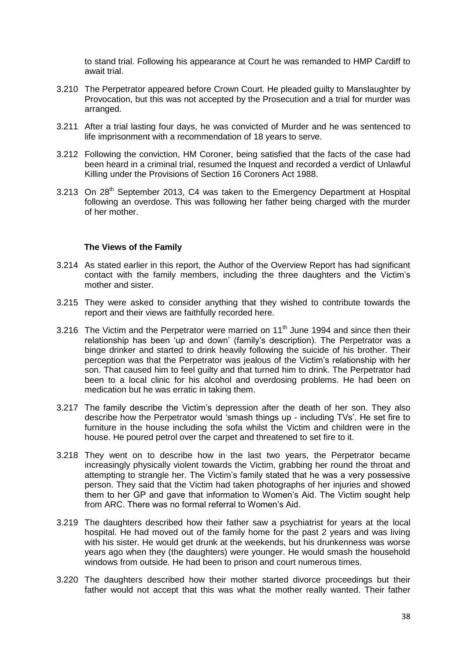to stand trial. Following his appearance at Court he was remanded to HMP Cardiff to await trial.

- 3.210 The Perpetrator appeared before Crown Court. He pleaded guilty to Manslaughter by Provocation, but this was not accepted by the Prosecution and a trial for murder was arranged.
- 3.211 After a trial lasting four days, he was convicted of Murder and he was sentenced to life imprisonment with a recommendation of 18 years to serve.
- 3.212 Following the conviction, HM Coroner, being satisfied that the facts of the case had been heard in a criminal trial, resumed the Inquest and recorded a verdict of Unlawful Killing under the Provisions of Section 16 Coroners Act 1988.
- 3.213 On 28<sup>th</sup> September 2013, C4 was taken to the Emergency Department at Hospital following an overdose. This was following her father being charged with the murder of her mother.

#### **The Views of the Family**

- 3.214 As stated earlier in this report, the Author of the Overview Report has had significant contact with the family members, including the three daughters and the Victim's mother and sister.
- 3.215 They were asked to consider anything that they wished to contribute towards the report and their views are faithfully recorded here.
- 3.216 The Victim and the Perpetrator were married on 11<sup>th</sup> June 1994 and since then their relationship has been 'up and down' (family's description). The Perpetrator was a binge drinker and started to drink heavily following the suicide of his brother. Their perception was that the Perpetrator was jealous of the Victim's relationship with her son. That caused him to feel guilty and that turned him to drink. The Perpetrator had been to a local clinic for his alcohol and overdosing problems. He had been on medication but he was erratic in taking them.
- 3.217 The family describe the Victim's depression after the death of her son. They also describe how the Perpetrator would 'smash things up - including TVs'. He set fire to furniture in the house including the sofa whilst the Victim and children were in the house. He poured petrol over the carpet and threatened to set fire to it.
- 3.218 They went on to describe how in the last two years, the Perpetrator became increasingly physically violent towards the Victim, grabbing her round the throat and attempting to strangle her. The Victim's family stated that he was a very possessive person. They said that the Victim had taken photographs of her injuries and showed them to her GP and gave that information to Women's Aid. The Victim sought help from ARC. There was no formal referral to Women's Aid.
- 3.219 The daughters described how their father saw a psychiatrist for years at the local hospital. He had moved out of the family home for the past 2 years and was living with his sister. He would get drunk at the weekends, but his drunkenness was worse years ago when they (the daughters) were younger. He would smash the household windows from outside. He had been to prison and court numerous times.
- 3.220 The daughters described how their mother started divorce proceedings but their father would not accept that this was what the mother really wanted. Their father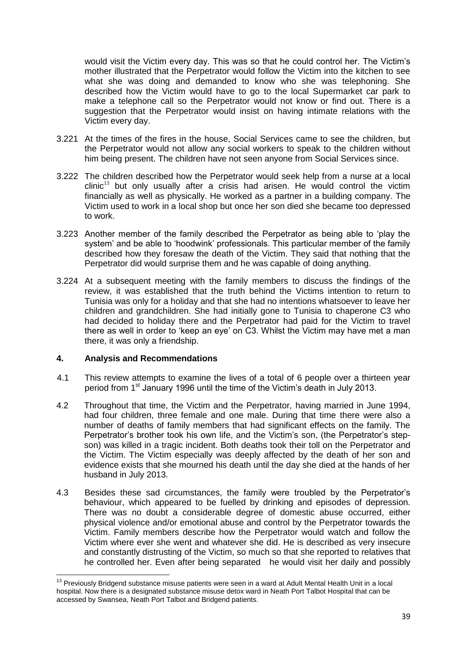would visit the Victim every day. This was so that he could control her. The Victim's mother illustrated that the Perpetrator would follow the Victim into the kitchen to see what she was doing and demanded to know who she was telephoning. She described how the Victim would have to go to the local Supermarket car park to make a telephone call so the Perpetrator would not know or find out. There is a suggestion that the Perpetrator would insist on having intimate relations with the Victim every day.

- 3.221 At the times of the fires in the house, Social Services came to see the children, but the Perpetrator would not allow any social workers to speak to the children without him being present. The children have not seen anyone from Social Services since.
- 3.222 The children described how the Perpetrator would seek help from a nurse at a local  $\text{clinic}^{13}$  but only usually after a crisis had arisen. He would control the victim financially as well as physically. He worked as a partner in a building company. The Victim used to work in a local shop but once her son died she became too depressed to work.
- 3.223 Another member of the family described the Perpetrator as being able to 'play the system' and be able to 'hoodwink' professionals. This particular member of the family described how they foresaw the death of the Victim. They said that nothing that the Perpetrator did would surprise them and he was capable of doing anything.
- 3.224 At a subsequent meeting with the family members to discuss the findings of the review, it was established that the truth behind the Victims intention to return to Tunisia was only for a holiday and that she had no intentions whatsoever to leave her children and grandchildren. She had initially gone to Tunisia to chaperone C3 who had decided to holiday there and the Perpetrator had paid for the Victim to travel there as well in order to 'keep an eye' on C3. Whilst the Victim may have met a man there, it was only a friendship.

#### **4. Analysis and Recommendations**

 $\overline{a}$ 

- 4.1 This review attempts to examine the lives of a total of 6 people over a thirteen year period from 1<sup>st</sup> January 1996 until the time of the Victim's death in July 2013.
- 4.2 Throughout that time, the Victim and the Perpetrator, having married in June 1994, had four children, three female and one male. During that time there were also a number of deaths of family members that had significant effects on the family. The Perpetrator's brother took his own life, and the Victim's son, (the Perpetrator's stepson) was killed in a tragic incident. Both deaths took their toll on the Perpetrator and the Victim. The Victim especially was deeply affected by the death of her son and evidence exists that she mourned his death until the day she died at the hands of her husband in July 2013.
- 4.3 Besides these sad circumstances, the family were troubled by the Perpetrator's behaviour, which appeared to be fuelled by drinking and episodes of depression. There was no doubt a considerable degree of domestic abuse occurred, either physical violence and/or emotional abuse and control by the Perpetrator towards the Victim. Family members describe how the Perpetrator would watch and follow the Victim where ever she went and whatever she did. He is described as very insecure and constantly distrusting of the Victim, so much so that she reported to relatives that he controlled her. Even after being separated he would visit her daily and possibly

<sup>&</sup>lt;sup>13</sup> Previously Bridgend substance misuse patients were seen in a ward at Adult Mental Health Unit in a local hospital. Now there is a designated substance misuse detox ward in Neath Port Talbot Hospital that can be accessed by Swansea, Neath Port Talbot and Bridgend patients.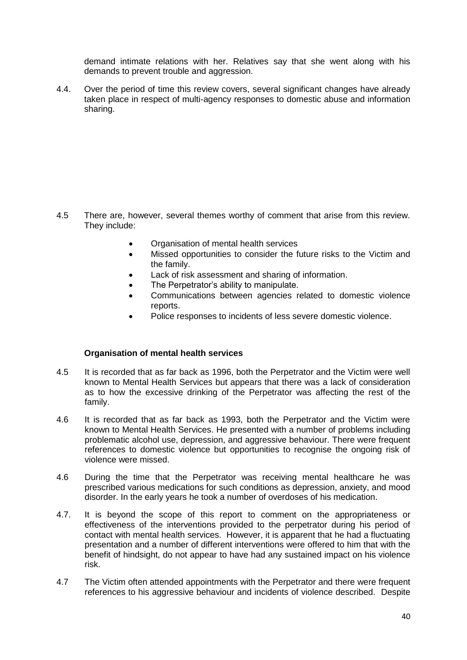demand intimate relations with her. Relatives say that she went along with his demands to prevent trouble and aggression.

4.4. Over the period of time this review covers, several significant changes have already taken place in respect of multi-agency responses to domestic abuse and information sharing.

- 4.5 There are, however, several themes worthy of comment that arise from this review. They include:
	- Organisation of mental health services
	- Missed opportunities to consider the future risks to the Victim and the family.
	- Lack of risk assessment and sharing of information.
	- The Perpetrator's ability to manipulate.
	- Communications between agencies related to domestic violence reports.
	- Police responses to incidents of less severe domestic violence.

#### **Organisation of mental health services**

- 4.5 It is recorded that as far back as 1996, both the Perpetrator and the Victim were well known to Mental Health Services but appears that there was a lack of consideration as to how the excessive drinking of the Perpetrator was affecting the rest of the family.
- 4.6 It is recorded that as far back as 1993, both the Perpetrator and the Victim were known to Mental Health Services. He presented with a number of problems including problematic alcohol use, depression, and aggressive behaviour. There were frequent references to domestic violence but opportunities to recognise the ongoing risk of violence were missed.
- 4.6 During the time that the Perpetrator was receiving mental healthcare he was prescribed various medications for such conditions as depression, anxiety, and mood disorder. In the early years he took a number of overdoses of his medication.
- 4.7. It is beyond the scope of this report to comment on the appropriateness or effectiveness of the interventions provided to the perpetrator during his period of contact with mental health services. However, it is apparent that he had a fluctuating presentation and a number of different interventions were offered to him that with the benefit of hindsight, do not appear to have had any sustained impact on his violence risk.
- 4.7 The Victim often attended appointments with the Perpetrator and there were frequent references to his aggressive behaviour and incidents of violence described. Despite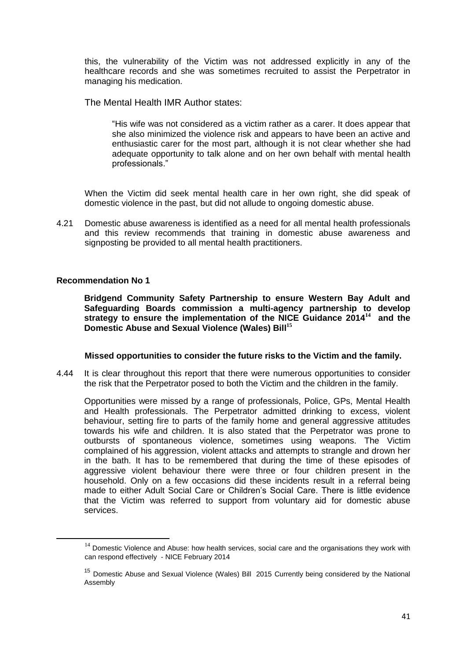this, the vulnerability of the Victim was not addressed explicitly in any of the healthcare records and she was sometimes recruited to assist the Perpetrator in managing his medication.

The Mental Health IMR Author states:

"His wife was not considered as a victim rather as a carer. It does appear that she also minimized the violence risk and appears to have been an active and enthusiastic carer for the most part, although it is not clear whether she had adequate opportunity to talk alone and on her own behalf with mental health professionals."

When the Victim did seek mental health care in her own right, she did speak of domestic violence in the past, but did not allude to ongoing domestic abuse.

4.21 Domestic abuse awareness is identified as a need for all mental health professionals and this review recommends that training in domestic abuse awareness and signposting be provided to all mental health practitioners.

#### **Recommendation No 1**

**.** 

**Bridgend Community Safety Partnership to ensure Western Bay Adult and Safeguarding Boards commission a multi-agency partnership to develop strategy to ensure the implementation of the NICE Guidance 2014<sup>14</sup> and the Domestic Abuse and Sexual Violence (Wales) Bill<sup>15</sup>**

#### **Missed opportunities to consider the future risks to the Victim and the family.**

4.44 It is clear throughout this report that there were numerous opportunities to consider the risk that the Perpetrator posed to both the Victim and the children in the family.

Opportunities were missed by a range of professionals, Police, GPs, Mental Health and Health professionals. The Perpetrator admitted drinking to excess, violent behaviour, setting fire to parts of the family home and general aggressive attitudes towards his wife and children. It is also stated that the Perpetrator was prone to outbursts of spontaneous violence, sometimes using weapons. The Victim complained of his aggression, violent attacks and attempts to strangle and drown her in the bath. It has to be remembered that during the time of these episodes of aggressive violent behaviour there were three or four children present in the household. Only on a few occasions did these incidents result in a referral being made to either Adult Social Care or Children's Social Care. There is little evidence that the Victim was referred to support from voluntary aid for domestic abuse services.

 $14$  Domestic Violence and Abuse: how health services, social care and the organisations they work with can respond effectively - NICE February 2014

<sup>&</sup>lt;sup>15</sup> Domestic Abuse and Sexual Violence (Wales) Bill 2015 Currently being considered by the National Assembly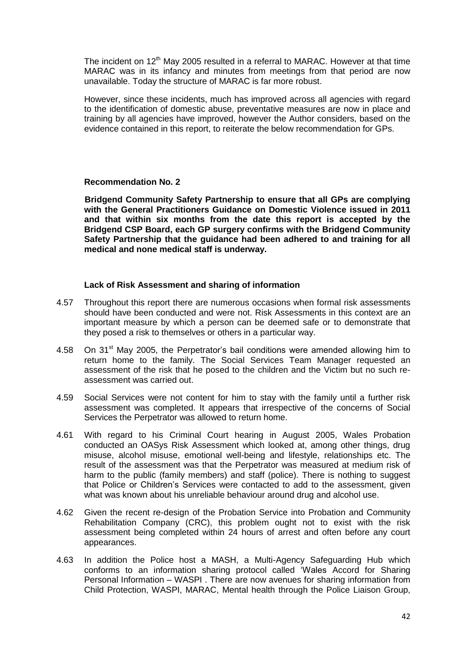The incident on  $12<sup>th</sup>$  May 2005 resulted in a referral to MARAC. However at that time MARAC was in its infancy and minutes from meetings from that period are now unavailable. Today the structure of MARAC is far more robust.

However, since these incidents, much has improved across all agencies with regard to the identification of domestic abuse, preventative measures are now in place and training by all agencies have improved, however the Author considers, based on the evidence contained in this report, to reiterate the below recommendation for GPs.

#### **Recommendation No. 2**

**Bridgend Community Safety Partnership to ensure that all GPs are complying with the General Practitioners Guidance on Domestic Violence issued in 2011 and that within six months from the date this report is accepted by the Bridgend CSP Board, each GP surgery confirms with the Bridgend Community Safety Partnership that the guidance had been adhered to and training for all medical and none medical staff is underway.**

#### **Lack of Risk Assessment and sharing of information**

- 4.57 Throughout this report there are numerous occasions when formal risk assessments should have been conducted and were not. Risk Assessments in this context are an important measure by which a person can be deemed safe or to demonstrate that they posed a risk to themselves or others in a particular way.
- 4.58 On 31<sup>st</sup> May 2005, the Perpetrator's bail conditions were amended allowing him to return home to the family. The Social Services Team Manager requested an assessment of the risk that he posed to the children and the Victim but no such reassessment was carried out.
- 4.59 Social Services were not content for him to stay with the family until a further risk assessment was completed. It appears that irrespective of the concerns of Social Services the Perpetrator was allowed to return home.
- 4.61 With regard to his Criminal Court hearing in August 2005, Wales Probation conducted an OASys Risk Assessment which looked at, among other things, drug misuse, alcohol misuse, emotional well-being and lifestyle, relationships etc. The result of the assessment was that the Perpetrator was measured at medium risk of harm to the public (family members) and staff (police). There is nothing to suggest that Police or Children's Services were contacted to add to the assessment, given what was known about his unreliable behaviour around drug and alcohol use.
- 4.62 Given the recent re-design of the Probation Service into Probation and Community Rehabilitation Company (CRC), this problem ought not to exist with the risk assessment being completed within 24 hours of arrest and often before any court appearances.
- 4.63 In addition the Police host a MASH, a Multi-Agency Safeguarding Hub which conforms to an information sharing protocol called 'Wales Accord for Sharing Personal Information – WASPI . There are now avenues for sharing information from Child Protection, WASPI, MARAC, Mental health through the Police Liaison Group,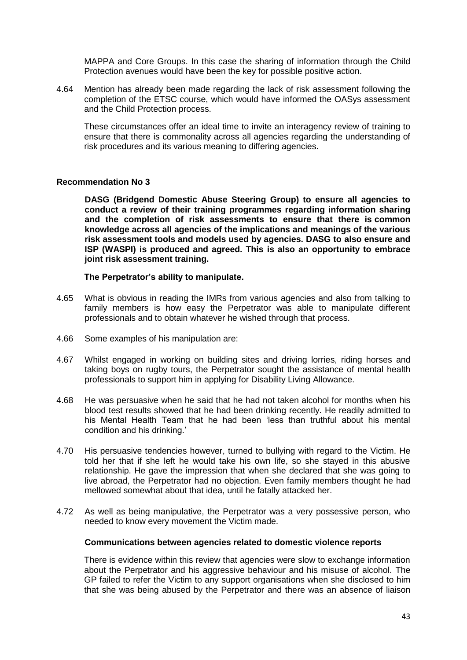MAPPA and Core Groups. In this case the sharing of information through the Child Protection avenues would have been the key for possible positive action.

4.64 Mention has already been made regarding the lack of risk assessment following the completion of the ETSC course, which would have informed the OASys assessment and the Child Protection process.

These circumstances offer an ideal time to invite an interagency review of training to ensure that there is commonality across all agencies regarding the understanding of risk procedures and its various meaning to differing agencies.

#### **Recommendation No 3**

**DASG (Bridgend Domestic Abuse Steering Group) to ensure all agencies to conduct a review of their training programmes regarding information sharing and the completion of risk assessments to ensure that there is common knowledge across all agencies of the implications and meanings of the various risk assessment tools and models used by agencies. DASG to also ensure and ISP (WASPI) is produced and agreed. This is also an opportunity to embrace joint risk assessment training.**

#### **The Perpetrator's ability to manipulate.**

- 4.65 What is obvious in reading the IMRs from various agencies and also from talking to family members is how easy the Perpetrator was able to manipulate different professionals and to obtain whatever he wished through that process.
- 4.66 Some examples of his manipulation are:
- 4.67 Whilst engaged in working on building sites and driving lorries, riding horses and taking boys on rugby tours, the Perpetrator sought the assistance of mental health professionals to support him in applying for Disability Living Allowance.
- 4.68 He was persuasive when he said that he had not taken alcohol for months when his blood test results showed that he had been drinking recently. He readily admitted to his Mental Health Team that he had been 'less than truthful about his mental condition and his drinking.'
- 4.70 His persuasive tendencies however, turned to bullying with regard to the Victim. He told her that if she left he would take his own life, so she stayed in this abusive relationship. He gave the impression that when she declared that she was going to live abroad, the Perpetrator had no objection. Even family members thought he had mellowed somewhat about that idea, until he fatally attacked her.
- 4.72 As well as being manipulative, the Perpetrator was a very possessive person, who needed to know every movement the Victim made.

#### **Communications between agencies related to domestic violence reports**

There is evidence within this review that agencies were slow to exchange information about the Perpetrator and his aggressive behaviour and his misuse of alcohol. The GP failed to refer the Victim to any support organisations when she disclosed to him that she was being abused by the Perpetrator and there was an absence of liaison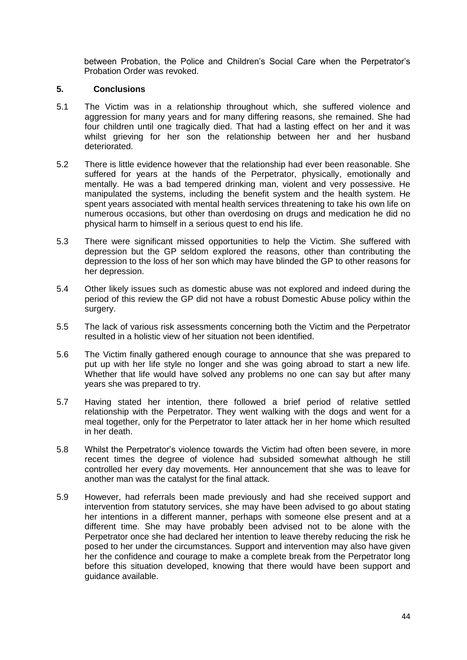between Probation, the Police and Children's Social Care when the Perpetrator's Probation Order was revoked.

#### **5. Conclusions**

- 5.1 The Victim was in a relationship throughout which, she suffered violence and aggression for many years and for many differing reasons, she remained. She had four children until one tragically died. That had a lasting effect on her and it was whilst grieving for her son the relationship between her and her husband deteriorated.
- 5.2 There is little evidence however that the relationship had ever been reasonable. She suffered for years at the hands of the Perpetrator, physically, emotionally and mentally. He was a bad tempered drinking man, violent and very possessive. He manipulated the systems, including the benefit system and the health system. He spent years associated with mental health services threatening to take his own life on numerous occasions, but other than overdosing on drugs and medication he did no physical harm to himself in a serious quest to end his life.
- 5.3 There were significant missed opportunities to help the Victim. She suffered with depression but the GP seldom explored the reasons, other than contributing the depression to the loss of her son which may have blinded the GP to other reasons for her depression.
- 5.4 Other likely issues such as domestic abuse was not explored and indeed during the period of this review the GP did not have a robust Domestic Abuse policy within the surgery.
- 5.5 The lack of various risk assessments concerning both the Victim and the Perpetrator resulted in a holistic view of her situation not been identified.
- 5.6 The Victim finally gathered enough courage to announce that she was prepared to put up with her life style no longer and she was going abroad to start a new life. Whether that life would have solved any problems no one can say but after many years she was prepared to try.
- 5.7 Having stated her intention, there followed a brief period of relative settled relationship with the Perpetrator. They went walking with the dogs and went for a meal together, only for the Perpetrator to later attack her in her home which resulted in her death.
- 5.8 Whilst the Perpetrator's violence towards the Victim had often been severe, in more recent times the degree of violence had subsided somewhat although he still controlled her every day movements. Her announcement that she was to leave for another man was the catalyst for the final attack.
- 5.9 However, had referrals been made previously and had she received support and intervention from statutory services, she may have been advised to go about stating her intentions in a different manner, perhaps with someone else present and at a different time. She may have probably been advised not to be alone with the Perpetrator once she had declared her intention to leave thereby reducing the risk he posed to her under the circumstances. Support and intervention may also have given her the confidence and courage to make a complete break from the Perpetrator long before this situation developed, knowing that there would have been support and guidance available.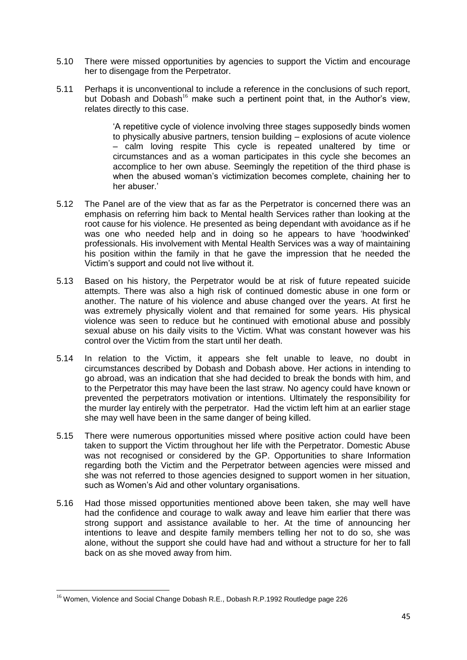- 5.10 There were missed opportunities by agencies to support the Victim and encourage her to disengage from the Perpetrator.
- 5.11 Perhaps it is unconventional to include a reference in the conclusions of such report, but Dobash and Dobash<sup>16</sup> make such a pertinent point that, in the Author's view, relates directly to this case.

'A repetitive cycle of violence involving three stages supposedly binds women to physically abusive partners, tension building – explosions of acute violence – calm loving respite This cycle is repeated unaltered by time or circumstances and as a woman participates in this cycle she becomes an accomplice to her own abuse. Seemingly the repetition of the third phase is when the abused woman's victimization becomes complete, chaining her to her abuser.'

- 5.12 The Panel are of the view that as far as the Perpetrator is concerned there was an emphasis on referring him back to Mental health Services rather than looking at the root cause for his violence. He presented as being dependant with avoidance as if he was one who needed help and in doing so he appears to have 'hoodwinked' professionals. His involvement with Mental Health Services was a way of maintaining his position within the family in that he gave the impression that he needed the Victim's support and could not live without it.
- 5.13 Based on his history, the Perpetrator would be at risk of future repeated suicide attempts. There was also a high risk of continued domestic abuse in one form or another. The nature of his violence and abuse changed over the years. At first he was extremely physically violent and that remained for some years. His physical violence was seen to reduce but he continued with emotional abuse and possibly sexual abuse on his daily visits to the Victim. What was constant however was his control over the Victim from the start until her death.
- 5.14 In relation to the Victim, it appears she felt unable to leave, no doubt in circumstances described by Dobash and Dobash above. Her actions in intending to go abroad, was an indication that she had decided to break the bonds with him, and to the Perpetrator this may have been the last straw. No agency could have known or prevented the perpetrators motivation or intentions. Ultimately the responsibility for the murder lay entirely with the perpetrator. Had the victim left him at an earlier stage she may well have been in the same danger of being killed.
- 5.15 There were numerous opportunities missed where positive action could have been taken to support the Victim throughout her life with the Perpetrator. Domestic Abuse was not recognised or considered by the GP. Opportunities to share Information regarding both the Victim and the Perpetrator between agencies were missed and she was not referred to those agencies designed to support women in her situation, such as Women's Aid and other voluntary organisations.
- 5.16 Had those missed opportunities mentioned above been taken, she may well have had the confidence and courage to walk away and leave him earlier that there was strong support and assistance available to her. At the time of announcing her intentions to leave and despite family members telling her not to do so, she was alone, without the support she could have had and without a structure for her to fall back on as she moved away from him.

**.** 

<sup>&</sup>lt;sup>16</sup> Women, Violence and Social Change Dobash R.E., Dobash R.P.1992 Routledge page 226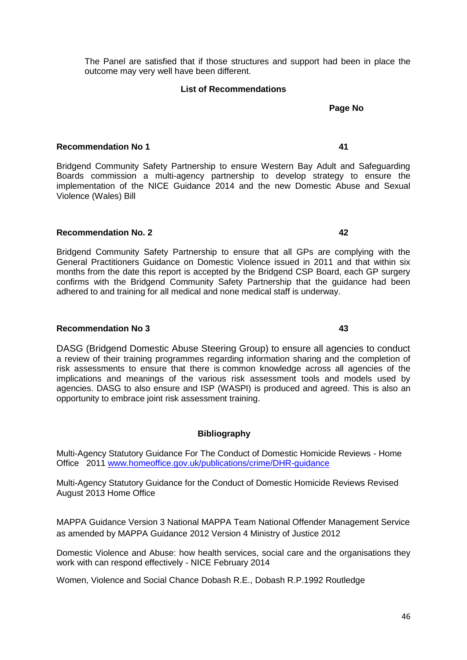The Panel are satisfied that if those structures and support had been in place the outcome may very well have been different.

#### **List of Recommendations**

# **Recommendation No 1 41**

Bridgend Community Safety Partnership to ensure Western Bay Adult and Safeguarding Boards commission a multi-agency partnership to develop strategy to ensure the implementation of the NICE Guidance 2014 and the new Domestic Abuse and Sexual Violence (Wales) Bill

#### **Recommendation No. 2 42**

Bridgend Community Safety Partnership to ensure that all GPs are complying with the General Practitioners Guidance on Domestic Violence issued in 2011 and that within six months from the date this report is accepted by the Bridgend CSP Board, each GP surgery confirms with the Bridgend Community Safety Partnership that the guidance had been adhered to and training for all medical and none medical staff is underway.

#### **Recommendation No 3 43**

DASG (Bridgend Domestic Abuse Steering Group) to ensure all agencies to conduct a review of their training programmes regarding information sharing and the completion of risk assessments to ensure that there is common knowledge across all agencies of the implications and meanings of the various risk assessment tools and models used by agencies. DASG to also ensure and ISP (WASPI) is produced and agreed. This is also an opportunity to embrace joint risk assessment training.

#### **Bibliography**

Multi-Agency Statutory Guidance For The Conduct of Domestic Homicide Reviews - Home Office 2011 [www.homeoffice.gov.uk/publications/crime/DHR-guidance](http://www.homeoffice.gov.uk/publications/crime/DHR-guidance)

Multi-Agency Statutory Guidance for the Conduct of Domestic Homicide Reviews Revised August 2013 Home Office

MAPPA Guidance Version 3 National MAPPA Team National Offender Management Service as amended by MAPPA Guidance 2012 Version 4 Ministry of Justice 2012

Domestic Violence and Abuse: how health services, social care and the organisations they work with can respond effectively - NICE February 2014

Women, Violence and Social Chance Dobash R.E., Dobash R.P.1992 Routledge

**Page No**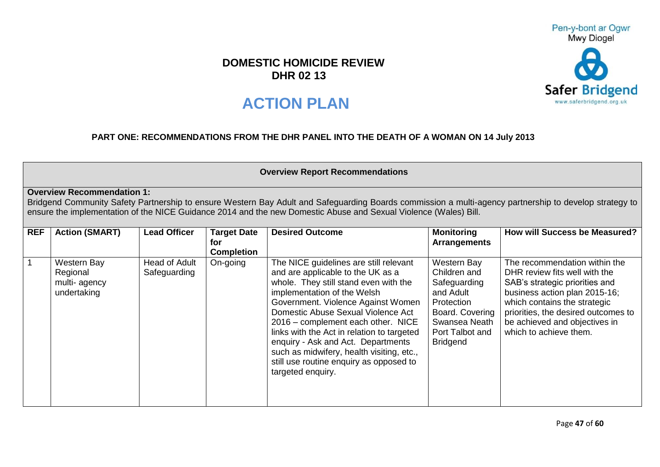# **DOMESTIC HOMICIDE REVIEW DHR 02 13**

# **ACTION PLAN**

# **PART ONE: RECOMMENDATIONS FROM THE DHR PANEL INTO THE DEATH OF A WOMAN ON 14 July 2013**

#### **Overview Report Recommendations**

## **Overview Recommendation 1:**

Bridgend Community Safety Partnership to ensure Western Bay Adult and Safeguarding Boards commission a multi-agency partnership to develop strategy to ensure the implementation of the NICE Guidance 2014 and the new Domestic Abuse and Sexual Violence (Wales) Bill.

| <b>REF</b> | <b>Action (SMART)</b>                                         | <b>Lead Officer</b>           | <b>Target Date</b> | <b>Desired Outcome</b>                                                                                                                                                                                                                                                                                                                                                                                                                                                 | <b>Monitoring</b>                                                                                                                                | <b>How will Success be Measured?</b>                                                                                                                                                                                                                                |
|------------|---------------------------------------------------------------|-------------------------------|--------------------|------------------------------------------------------------------------------------------------------------------------------------------------------------------------------------------------------------------------------------------------------------------------------------------------------------------------------------------------------------------------------------------------------------------------------------------------------------------------|--------------------------------------------------------------------------------------------------------------------------------------------------|---------------------------------------------------------------------------------------------------------------------------------------------------------------------------------------------------------------------------------------------------------------------|
|            |                                                               |                               | for                |                                                                                                                                                                                                                                                                                                                                                                                                                                                                        | <b>Arrangements</b>                                                                                                                              |                                                                                                                                                                                                                                                                     |
|            |                                                               |                               | <b>Completion</b>  |                                                                                                                                                                                                                                                                                                                                                                                                                                                                        |                                                                                                                                                  |                                                                                                                                                                                                                                                                     |
|            | <b>Western Bay</b><br>Regional<br>multi-agency<br>undertaking | Head of Adult<br>Safeguarding | On-going           | The NICE guidelines are still relevant<br>and are applicable to the UK as a<br>whole. They still stand even with the<br>implementation of the Welsh<br>Government. Violence Against Women<br>Domestic Abuse Sexual Violence Act<br>2016 – complement each other. NICE<br>links with the Act in relation to targeted<br>enquiry - Ask and Act. Departments<br>such as midwifery, health visiting, etc.,<br>still use routine enquiry as opposed to<br>targeted enquiry. | Western Bay<br>Children and<br>Safeguarding<br>and Adult<br>Protection<br>Board. Covering<br>Swansea Neath<br>Port Talbot and<br><b>Bridgend</b> | The recommendation within the<br>DHR review fits well with the<br>SAB's strategic priorities and<br>business action plan 2015-16;<br>which contains the strategic<br>priorities, the desired outcomes to<br>be achieved and objectives in<br>which to achieve them. |



Pen-y-bont ar Ogwr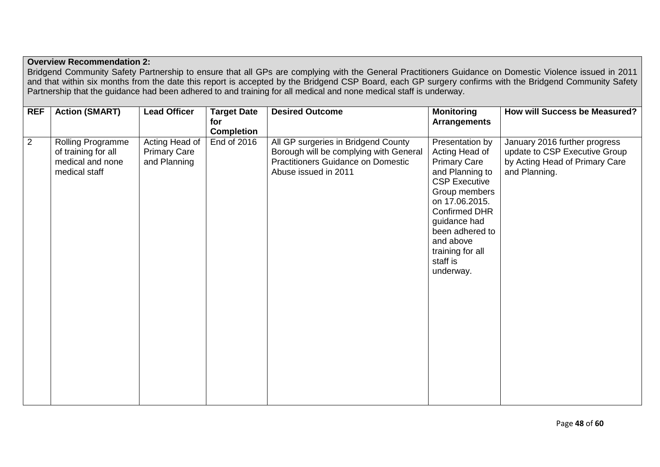# **Overview Recommendation 2:**

Bridgend Community Safety Partnership to ensure that all GPs are complying with the General Practitioners Guidance on Domestic Violence issued in 2011 and that within six months from the date this report is accepted by the Bridgend CSP Board, each GP surgery confirms with the Bridgend Community Safety Partnership that the guidance had been adhered to and training for all medical and none medical staff is underway.

| <b>REF</b>     | <b>Action (SMART)</b>                                                         | <b>Lead Officer</b>                                   | <b>Target Date</b><br>for | <b>Desired Outcome</b>                                                                                                                             | <b>Monitoring</b><br><b>Arrangements</b>                                                                                                                                                                                                                    | <b>How will Success be Measured?</b>                                                                              |
|----------------|-------------------------------------------------------------------------------|-------------------------------------------------------|---------------------------|----------------------------------------------------------------------------------------------------------------------------------------------------|-------------------------------------------------------------------------------------------------------------------------------------------------------------------------------------------------------------------------------------------------------------|-------------------------------------------------------------------------------------------------------------------|
|                |                                                                               |                                                       | <b>Completion</b>         |                                                                                                                                                    |                                                                                                                                                                                                                                                             |                                                                                                                   |
| $\overline{2}$ | Rolling Programme<br>of training for all<br>medical and none<br>medical staff | Acting Head of<br><b>Primary Care</b><br>and Planning | End of 2016               | All GP surgeries in Bridgend County<br>Borough will be complying with General<br><b>Practitioners Guidance on Domestic</b><br>Abuse issued in 2011 | Presentation by<br>Acting Head of<br><b>Primary Care</b><br>and Planning to<br><b>CSP Executive</b><br>Group members<br>on 17.06.2015.<br><b>Confirmed DHR</b><br>guidance had<br>been adhered to<br>and above<br>training for all<br>staff is<br>underway. | January 2016 further progress<br>update to CSP Executive Group<br>by Acting Head of Primary Care<br>and Planning. |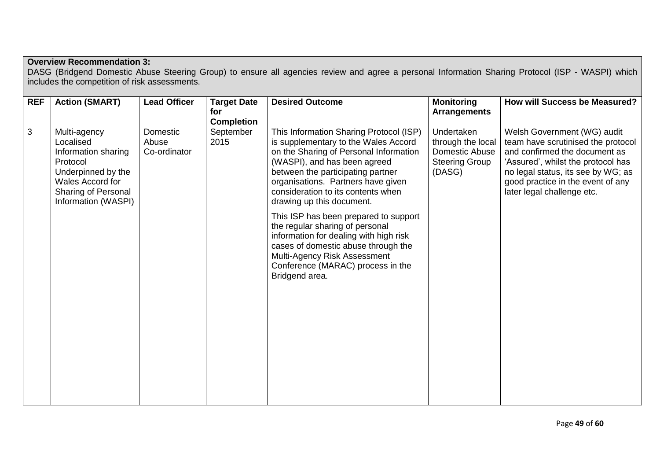# **Overview Recommendation 3:**

DASG (Bridgend Domestic Abuse Steering Group) to ensure all agencies review and agree a personal Information Sharing Protocol (ISP - WASPI) which includes the competition of risk assessments.

| <b>REF</b> | <b>Action (SMART)</b>                                                                                                                                | <b>Lead Officer</b>               | <b>Target Date</b><br>for<br><b>Completion</b> | <b>Desired Outcome</b>                                                                                                                                                                                                                                                                                  | <b>Monitoring</b><br><b>Arrangements</b>                                             | <b>How will Success be Measured?</b>                                                                                                                                                                                                              |
|------------|------------------------------------------------------------------------------------------------------------------------------------------------------|-----------------------------------|------------------------------------------------|---------------------------------------------------------------------------------------------------------------------------------------------------------------------------------------------------------------------------------------------------------------------------------------------------------|--------------------------------------------------------------------------------------|---------------------------------------------------------------------------------------------------------------------------------------------------------------------------------------------------------------------------------------------------|
| 3          | Multi-agency<br>Localised<br>Information sharing<br>Protocol<br>Underpinned by the<br>Wales Accord for<br>Sharing of Personal<br>Information (WASPI) | Domestic<br>Abuse<br>Co-ordinator | September<br>2015                              | This Information Sharing Protocol (ISP)<br>is supplementary to the Wales Accord<br>on the Sharing of Personal Information<br>(WASPI), and has been agreed<br>between the participating partner<br>organisations. Partners have given<br>consideration to its contents when<br>drawing up this document. | Undertaken<br>through the local<br>Domestic Abuse<br><b>Steering Group</b><br>(DASG) | Welsh Government (WG) audit<br>team have scrutinised the protocol<br>and confirmed the document as<br>'Assured', whilst the protocol has<br>no legal status, its see by WG; as<br>good practice in the event of any<br>later legal challenge etc. |
|            |                                                                                                                                                      |                                   |                                                | This ISP has been prepared to support<br>the regular sharing of personal<br>information for dealing with high risk<br>cases of domestic abuse through the<br>Multi-Agency Risk Assessment<br>Conference (MARAC) process in the<br>Bridgend area.                                                        |                                                                                      |                                                                                                                                                                                                                                                   |
|            |                                                                                                                                                      |                                   |                                                |                                                                                                                                                                                                                                                                                                         |                                                                                      |                                                                                                                                                                                                                                                   |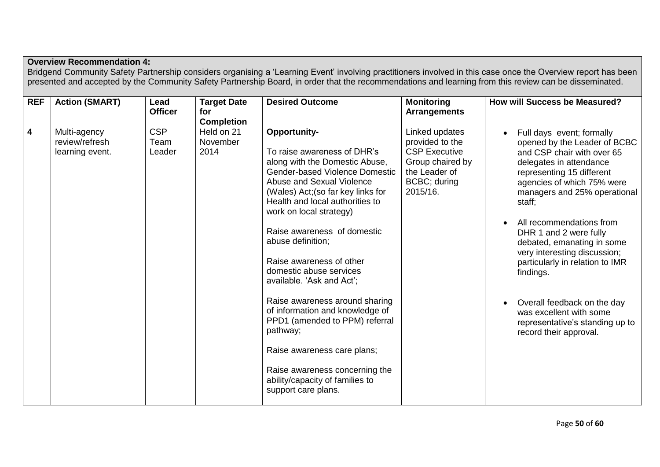|                         |                                                   |                        |                                                | presented and accepted by the Community Safety Partnership Board, in order that the recommendations and learning from this review can be disseminated.                                                                                                                                                                                                                                                                                                                                                                                                                                                                                        |                                                                                                                            | Bridgend Community Safety Partnership considers organising a 'Learning Event' involving practitioners involved in this case once the Overview report has been                                                                                                                                                                                                                                                                                                                                                      |
|-------------------------|---------------------------------------------------|------------------------|------------------------------------------------|-----------------------------------------------------------------------------------------------------------------------------------------------------------------------------------------------------------------------------------------------------------------------------------------------------------------------------------------------------------------------------------------------------------------------------------------------------------------------------------------------------------------------------------------------------------------------------------------------------------------------------------------------|----------------------------------------------------------------------------------------------------------------------------|--------------------------------------------------------------------------------------------------------------------------------------------------------------------------------------------------------------------------------------------------------------------------------------------------------------------------------------------------------------------------------------------------------------------------------------------------------------------------------------------------------------------|
| <b>REF</b>              | <b>Action (SMART)</b>                             | Lead<br><b>Officer</b> | <b>Target Date</b><br>for<br><b>Completion</b> | <b>Desired Outcome</b>                                                                                                                                                                                                                                                                                                                                                                                                                                                                                                                                                                                                                        | <b>Monitoring</b><br><b>Arrangements</b>                                                                                   | <b>How will Success be Measured?</b>                                                                                                                                                                                                                                                                                                                                                                                                                                                                               |
| $\overline{\mathbf{4}}$ | Multi-agency<br>review/refresh<br>learning event. | CSP<br>Team<br>Leader  | Held on 21<br>November<br>2014                 | Opportunity-<br>To raise awareness of DHR's<br>along with the Domestic Abuse,<br><b>Gender-based Violence Domestic</b><br>Abuse and Sexual Violence<br>(Wales) Act; (so far key links for<br>Health and local authorities to<br>work on local strategy)<br>Raise awareness of domestic<br>abuse definition;<br>Raise awareness of other<br>domestic abuse services<br>available. 'Ask and Act';<br>Raise awareness around sharing<br>of information and knowledge of<br>PPD1 (amended to PPM) referral<br>pathway;<br>Raise awareness care plans;<br>Raise awareness concerning the<br>ability/capacity of families to<br>support care plans. | Linked updates<br>provided to the<br><b>CSP Executive</b><br>Group chaired by<br>the Leader of<br>BCBC; during<br>2015/16. | Full days event; formally<br>opened by the Leader of BCBC<br>and CSP chair with over 65<br>delegates in attendance<br>representing 15 different<br>agencies of which 75% were<br>managers and 25% operational<br>staff;<br>All recommendations from<br>DHR 1 and 2 were fully<br>debated, emanating in some<br>very interesting discussion;<br>particularly in relation to IMR<br>findings.<br>Overall feedback on the day<br>was excellent with some<br>representative's standing up to<br>record their approval. |

# **Overview Recommendation 4:**

Bridgend Community Safety Partnership considers organising a 'Learning Event' involving practitioners involved in this case once the Overview report has been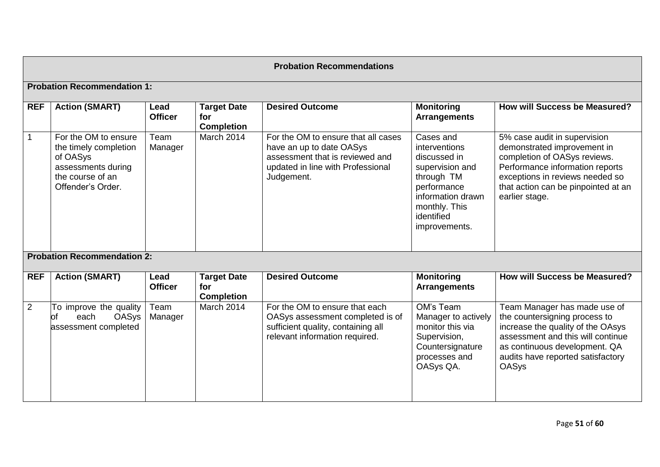|                |                                                                                                                          |                        |                                                | <b>Probation Recommendations</b>                                                                                                                      |                                                                                                                                                                 |                                                                                                                                                                                                                               |
|----------------|--------------------------------------------------------------------------------------------------------------------------|------------------------|------------------------------------------------|-------------------------------------------------------------------------------------------------------------------------------------------------------|-----------------------------------------------------------------------------------------------------------------------------------------------------------------|-------------------------------------------------------------------------------------------------------------------------------------------------------------------------------------------------------------------------------|
|                | <b>Probation Recommendation 1:</b>                                                                                       |                        |                                                |                                                                                                                                                       |                                                                                                                                                                 |                                                                                                                                                                                                                               |
| <b>REF</b>     | <b>Action (SMART)</b>                                                                                                    | Lead<br><b>Officer</b> | <b>Target Date</b><br>for<br><b>Completion</b> | <b>Desired Outcome</b>                                                                                                                                | <b>Monitoring</b><br><b>Arrangements</b>                                                                                                                        | How will Success be Measured?                                                                                                                                                                                                 |
|                | For the OM to ensure<br>the timely completion<br>of OASys<br>assessments during<br>the course of an<br>Offender's Order. | Team<br>Manager        | March 2014                                     | For the OM to ensure that all cases<br>have an up to date OASys<br>assessment that is reviewed and<br>updated in line with Professional<br>Judgement. | Cases and<br>interventions<br>discussed in<br>supervision and<br>through TM<br>performance<br>information drawn<br>monthly. This<br>identified<br>improvements. | 5% case audit in supervision<br>demonstrated improvement in<br>completion of OASys reviews.<br>Performance information reports<br>exceptions in reviews needed so<br>that action can be pinpointed at an<br>earlier stage.    |
|                | <b>Probation Recommendation 2:</b>                                                                                       |                        |                                                |                                                                                                                                                       |                                                                                                                                                                 |                                                                                                                                                                                                                               |
| <b>REF</b>     | <b>Action (SMART)</b>                                                                                                    | Lead<br><b>Officer</b> | <b>Target Date</b><br>for<br><b>Completion</b> | <b>Desired Outcome</b>                                                                                                                                | <b>Monitoring</b><br><b>Arrangements</b>                                                                                                                        | How will Success be Measured?                                                                                                                                                                                                 |
| $\overline{2}$ | To improve the quality<br><b>of</b><br><b>OASys</b><br>each<br>assessment completed                                      | Team<br>Manager        | March 2014                                     | For the OM to ensure that each<br>OASys assessment completed is of<br>sufficient quality, containing all<br>relevant information required.            | OM's Team<br>Manager to actively<br>monitor this via<br>Supervision,<br>Countersignature<br>processes and<br>OASys QA.                                          | Team Manager has made use of<br>the countersigning process to<br>increase the quality of the OAsys<br>assessment and this will continue<br>as continuous development. QA<br>audits have reported satisfactory<br><b>OASys</b> |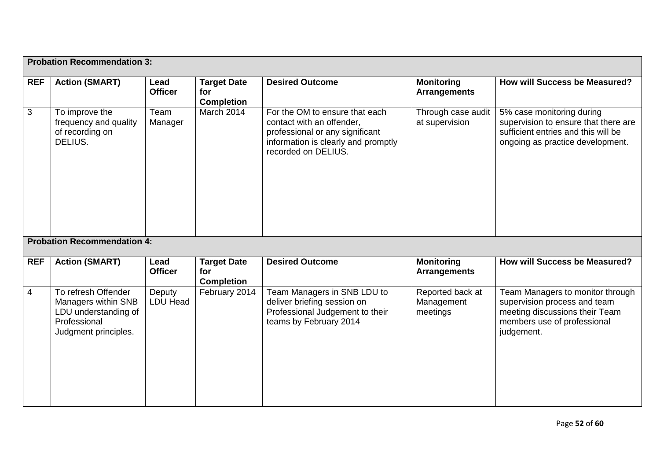|                | <b>Probation Recommendation 3:</b>                                                                         |                           |                                                |                                                                                                                                                              |                                            |                                                                                                                                                 |
|----------------|------------------------------------------------------------------------------------------------------------|---------------------------|------------------------------------------------|--------------------------------------------------------------------------------------------------------------------------------------------------------------|--------------------------------------------|-------------------------------------------------------------------------------------------------------------------------------------------------|
| <b>REF</b>     | <b>Action (SMART)</b>                                                                                      | Lead<br><b>Officer</b>    | <b>Target Date</b><br>for<br><b>Completion</b> | <b>Desired Outcome</b>                                                                                                                                       | <b>Monitoring</b><br><b>Arrangements</b>   | <b>How will Success be Measured?</b>                                                                                                            |
| 3              | To improve the<br>frequency and quality<br>of recording on<br>DELIUS.                                      | Team<br>Manager           | March 2014                                     | For the OM to ensure that each<br>contact with an offender,<br>professional or any significant<br>information is clearly and promptly<br>recorded on DELIUS. | Through case audit<br>at supervision       | 5% case monitoring during<br>supervision to ensure that there are<br>sufficient entries and this will be<br>ongoing as practice development.    |
|                | <b>Probation Recommendation 4:</b>                                                                         |                           |                                                |                                                                                                                                                              |                                            |                                                                                                                                                 |
| <b>REF</b>     | <b>Action (SMART)</b>                                                                                      | Lead<br><b>Officer</b>    | <b>Target Date</b><br>for<br><b>Completion</b> | <b>Desired Outcome</b>                                                                                                                                       | <b>Monitoring</b><br><b>Arrangements</b>   | How will Success be Measured?                                                                                                                   |
| $\overline{4}$ | To refresh Offender<br>Managers within SNB<br>LDU understanding of<br>Professional<br>Judgment principles. | Deputy<br><b>LDU Head</b> | February 2014                                  | Team Managers in SNB LDU to<br>deliver briefing session on<br>Professional Judgement to their<br>teams by February 2014                                      | Reported back at<br>Management<br>meetings | Team Managers to monitor through<br>supervision process and team<br>meeting discussions their Team<br>members use of professional<br>judgement. |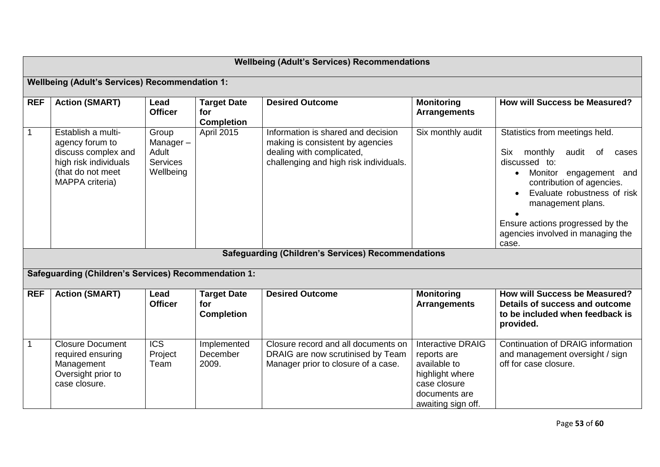|              |                                                                                                                               |                                                            |                                                | <b>Wellbeing (Adult's Services) Recommendations</b>                                                                                                                                                        |                                                                                                                                   |                                                                                                                                                                                                                                                                                                     |
|--------------|-------------------------------------------------------------------------------------------------------------------------------|------------------------------------------------------------|------------------------------------------------|------------------------------------------------------------------------------------------------------------------------------------------------------------------------------------------------------------|-----------------------------------------------------------------------------------------------------------------------------------|-----------------------------------------------------------------------------------------------------------------------------------------------------------------------------------------------------------------------------------------------------------------------------------------------------|
|              | <b>Wellbeing (Adult's Services) Recommendation 1:</b>                                                                         |                                                            |                                                |                                                                                                                                                                                                            |                                                                                                                                   |                                                                                                                                                                                                                                                                                                     |
| <b>REF</b>   | <b>Action (SMART)</b>                                                                                                         | Lead<br><b>Officer</b>                                     | <b>Target Date</b><br>for<br><b>Completion</b> | <b>Desired Outcome</b>                                                                                                                                                                                     | <b>Monitoring</b><br><b>Arrangements</b>                                                                                          | <b>How will Success be Measured?</b>                                                                                                                                                                                                                                                                |
| $\mathbf{1}$ | Establish a multi-<br>agency forum to<br>discuss complex and<br>high risk individuals<br>(that do not meet<br>MAPPA criteria) | Group<br>Manager-<br>Adult<br><b>Services</b><br>Wellbeing | <b>April 2015</b>                              | Information is shared and decision<br>making is consistent by agencies<br>dealing with complicated,<br>challenging and high risk individuals.<br><b>Safeguarding (Children's Services) Recommendations</b> | Six monthly audit                                                                                                                 | Statistics from meetings held.<br>Six<br>monthly<br>audit<br>of<br>cases<br>discussed to:<br>Monitor engagement and<br>$\bullet$<br>contribution of agencies.<br>Evaluate robustness of risk<br>management plans.<br>Ensure actions progressed by the<br>agencies involved in managing the<br>case. |
|              | Safeguarding (Children's Services) Recommendation 1:                                                                          |                                                            |                                                |                                                                                                                                                                                                            |                                                                                                                                   |                                                                                                                                                                                                                                                                                                     |
| <b>REF</b>   | <b>Action (SMART)</b>                                                                                                         | Lead<br><b>Officer</b>                                     | <b>Target Date</b><br>for<br><b>Completion</b> | <b>Desired Outcome</b>                                                                                                                                                                                     | <b>Monitoring</b><br><b>Arrangements</b>                                                                                          | <b>How will Success be Measured?</b><br>Details of success and outcome<br>to be included when feedback is<br>provided.                                                                                                                                                                              |
| $\mathbf{1}$ | <b>Closure Document</b><br>required ensuring<br>Management<br>Oversight prior to<br>case closure.                             | <b>ICS</b><br>Project<br>Team                              | Implemented<br>December<br>2009.               | Closure record and all documents on<br>DRAIG are now scrutinised by Team<br>Manager prior to closure of a case.                                                                                            | <b>Interactive DRAIG</b><br>reports are<br>available to<br>highlight where<br>case closure<br>documents are<br>awaiting sign off. | Continuation of DRAIG information<br>and management oversight / sign<br>off for case closure.                                                                                                                                                                                                       |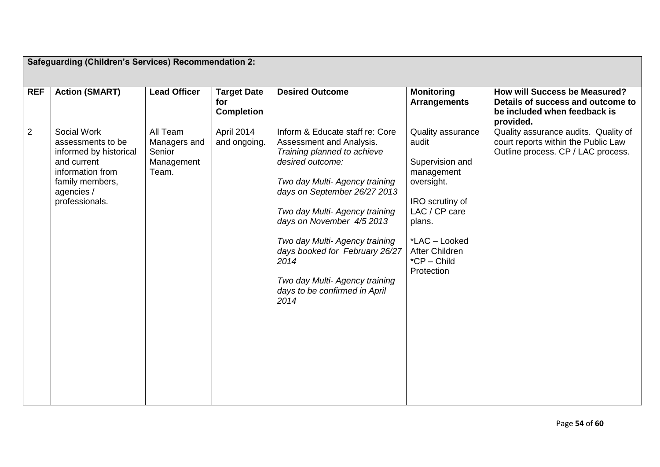|                | Safeguarding (Children's Services) Recommendation 2:                                                                                             |                                                                  |                                                |                                                                                                                                                                                                                                                                                                                                                                                                        |                                                                                                                                                                                         |                                                                                                                   |
|----------------|--------------------------------------------------------------------------------------------------------------------------------------------------|------------------------------------------------------------------|------------------------------------------------|--------------------------------------------------------------------------------------------------------------------------------------------------------------------------------------------------------------------------------------------------------------------------------------------------------------------------------------------------------------------------------------------------------|-----------------------------------------------------------------------------------------------------------------------------------------------------------------------------------------|-------------------------------------------------------------------------------------------------------------------|
| <b>REF</b>     | <b>Action (SMART)</b>                                                                                                                            | <b>Lead Officer</b>                                              | <b>Target Date</b><br>for<br><b>Completion</b> | <b>Desired Outcome</b>                                                                                                                                                                                                                                                                                                                                                                                 | <b>Monitoring</b><br><b>Arrangements</b>                                                                                                                                                | How will Success be Measured?<br>Details of success and outcome to<br>be included when feedback is<br>provided.   |
| $\overline{2}$ | Social Work<br>assessments to be<br>informed by historical<br>and current<br>information from<br>family members,<br>agencies /<br>professionals. | <b>All Team</b><br>Managers and<br>Senior<br>Management<br>Team. | April 2014<br>and ongoing.                     | Inform & Educate staff re: Core<br>Assessment and Analysis.<br>Training planned to achieve<br>desired outcome:<br>Two day Multi- Agency training<br>days on September 26/27 2013<br>Two day Multi- Agency training<br>days on November 4/5 2013<br>Two day Multi- Agency training<br>days booked for February 26/27<br>2014<br>Two day Multi- Agency training<br>days to be confirmed in April<br>2014 | Quality assurance<br>audit<br>Supervision and<br>management<br>oversight.<br>IRO scrutiny of<br>LAC / CP care<br>plans.<br>*LAC - Looked<br>After Children<br>*CP - Child<br>Protection | Quality assurance audits. Quality of<br>court reports within the Public Law<br>Outline process. CP / LAC process. |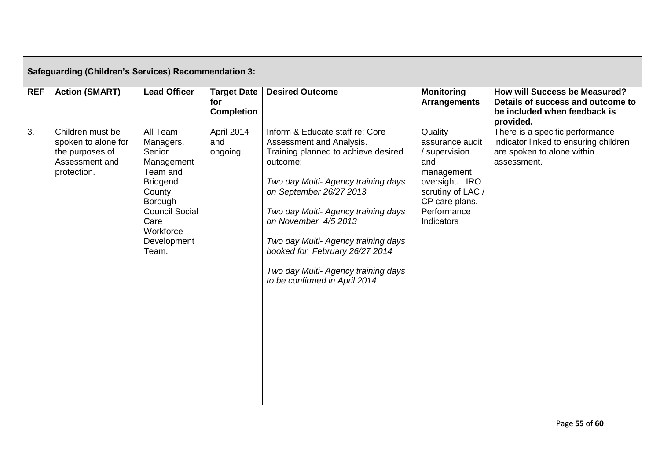|                  | <b>Safeguarding (Children's Services) Recommendation 3:</b>                                 |                                                                                                                                                                                |                                                |                                                                                                                                                                                                                                                                                                                                                                                                  |                                                                                                                                                        |                                                                                                                        |
|------------------|---------------------------------------------------------------------------------------------|--------------------------------------------------------------------------------------------------------------------------------------------------------------------------------|------------------------------------------------|--------------------------------------------------------------------------------------------------------------------------------------------------------------------------------------------------------------------------------------------------------------------------------------------------------------------------------------------------------------------------------------------------|--------------------------------------------------------------------------------------------------------------------------------------------------------|------------------------------------------------------------------------------------------------------------------------|
| <b>REF</b>       | <b>Action (SMART)</b>                                                                       | <b>Lead Officer</b>                                                                                                                                                            | <b>Target Date</b><br>for<br><b>Completion</b> | <b>Desired Outcome</b>                                                                                                                                                                                                                                                                                                                                                                           | <b>Monitoring</b><br><b>Arrangements</b>                                                                                                               | <b>How will Success be Measured?</b><br>Details of success and outcome to<br>be included when feedback is<br>provided. |
| $\overline{3}$ . | Children must be<br>spoken to alone for<br>the purposes of<br>Assessment and<br>protection. | All Team<br>Managers,<br>Senior<br>Management<br>Team and<br><b>Bridgend</b><br>County<br><b>Borough</b><br><b>Council Social</b><br>Care<br>Workforce<br>Development<br>Team. | April 2014<br>and<br>ongoing.                  | Inform & Educate staff re: Core<br>Assessment and Analysis.<br>Training planned to achieve desired<br>outcome:<br>Two day Multi- Agency training days<br>on September 26/27 2013<br>Two day Multi- Agency training days<br>on November 4/5 2013<br>Two day Multi- Agency training days<br>booked for February 26/27 2014<br>Two day Multi- Agency training days<br>to be confirmed in April 2014 | Quality<br>assurance audit<br>/ supervision<br>and<br>management<br>oversight. IRO<br>scrutiny of LAC /<br>CP care plans.<br>Performance<br>Indicators | There is a specific performance<br>indicator linked to ensuring children<br>are spoken to alone within<br>assessment.  |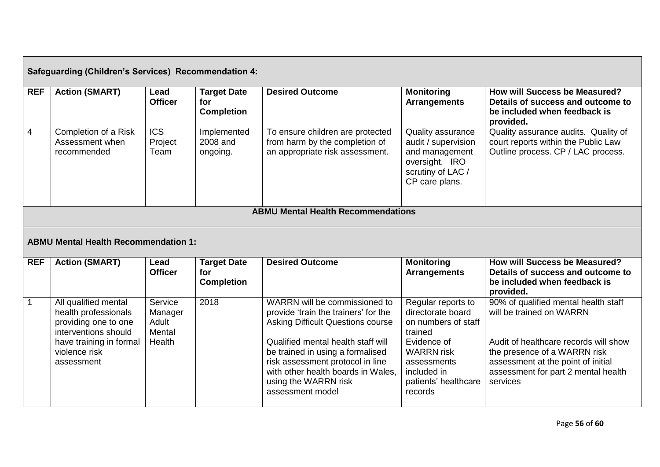|                | <b>Safeguarding (Children's Services) Recommendation 4:</b> |                                     |                                                |                                                                                                       |                                                                                                                     |                                                                                                                        |
|----------------|-------------------------------------------------------------|-------------------------------------|------------------------------------------------|-------------------------------------------------------------------------------------------------------|---------------------------------------------------------------------------------------------------------------------|------------------------------------------------------------------------------------------------------------------------|
| <b>REF</b>     | <b>Action (SMART)</b>                                       | Lead<br><b>Officer</b>              | <b>Target Date</b><br>for<br><b>Completion</b> | <b>Desired Outcome</b>                                                                                | <b>Monitoring</b><br><b>Arrangements</b>                                                                            | <b>How will Success be Measured?</b><br>Details of success and outcome to<br>be included when feedback is<br>provided. |
| $\overline{4}$ | Completion of a Risk<br>Assessment when<br>recommended      | $\overline{ICS}$<br>Project<br>Team | Implemented<br>2008 and<br>ongoing.            | To ensure children are protected<br>from harm by the completion of<br>an appropriate risk assessment. | Quality assurance<br>audit / supervision<br>and management<br>oversight. IRO<br>scrutiny of LAC /<br>CP care plans. | Quality assurance audits. Quality of<br>court reports within the Public Law<br>Outline process. CP / LAC process.      |
|                |                                                             |                                     |                                                | <b>ABMU Mental Health Recommendations</b>                                                             |                                                                                                                     |                                                                                                                        |
|                | <b>ABMU Mental Health Recommendation 1:</b>                 |                                     |                                                |                                                                                                       |                                                                                                                     |                                                                                                                        |
|                |                                                             |                                     |                                                |                                                                                                       |                                                                                                                     |                                                                                                                        |
| <b>REF</b>     | <b>Action (SMART)</b>                                       | Lead<br><b>Officer</b>              | <b>Target Date</b><br>for<br><b>Completion</b> | <b>Desired Outcome</b>                                                                                | <b>Monitoring</b><br><b>Arrangements</b>                                                                            | How will Success be Measured?<br>Details of success and outcome to<br>be included when feedback is<br>provided.        |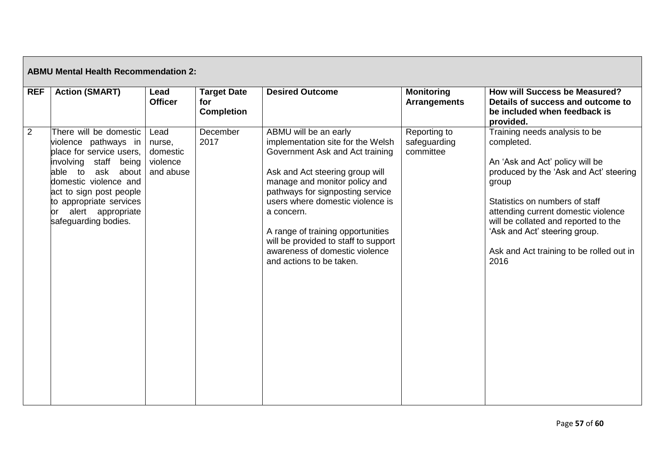| <b>ABMU Mental Health Recommendation 2:</b> |                                                                                                                                                                                                                                                            |                                                     |                                                |                                                                                                                                                                                                                                                                                                                                                                                                    |                                           |                                                                                                                                                                                                                                                                                                                                         |
|---------------------------------------------|------------------------------------------------------------------------------------------------------------------------------------------------------------------------------------------------------------------------------------------------------------|-----------------------------------------------------|------------------------------------------------|----------------------------------------------------------------------------------------------------------------------------------------------------------------------------------------------------------------------------------------------------------------------------------------------------------------------------------------------------------------------------------------------------|-------------------------------------------|-----------------------------------------------------------------------------------------------------------------------------------------------------------------------------------------------------------------------------------------------------------------------------------------------------------------------------------------|
| <b>REF</b>                                  | <b>Action (SMART)</b>                                                                                                                                                                                                                                      | Lead<br><b>Officer</b>                              | <b>Target Date</b><br>for<br><b>Completion</b> | <b>Desired Outcome</b>                                                                                                                                                                                                                                                                                                                                                                             | <b>Monitoring</b><br><b>Arrangements</b>  | How will Success be Measured?<br>Details of success and outcome to<br>be included when feedback is<br>provided.                                                                                                                                                                                                                         |
| $\overline{2}$                              | There will be domestic<br>violence pathways in<br>place for service users,<br>involving staff being<br>ask about<br>able to<br>domestic violence and<br>act to sign post people<br>to appropriate services<br>or alert appropriate<br>safeguarding bodies. | Lead<br>nurse,<br>domestic<br>violence<br>and abuse | December<br>2017                               | ABMU will be an early<br>implementation site for the Welsh<br>Government Ask and Act training<br>Ask and Act steering group will<br>manage and monitor policy and<br>pathways for signposting service<br>users where domestic violence is<br>a concern.<br>A range of training opportunities<br>will be provided to staff to support<br>awareness of domestic violence<br>and actions to be taken. | Reporting to<br>safeguarding<br>committee | Training needs analysis to be<br>completed.<br>An 'Ask and Act' policy will be<br>produced by the 'Ask and Act' steering<br>group<br>Statistics on numbers of staff<br>attending current domestic violence<br>will be collated and reported to the<br>'Ask and Act' steering group.<br>Ask and Act training to be rolled out in<br>2016 |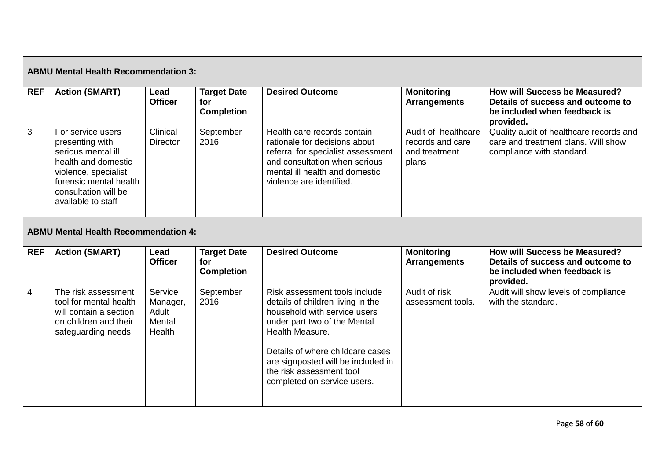| <b>ABMU Mental Health Recommendation 3:</b> |                                                                                                                                                                                   |                                                  |                                                |                                                                                                                                                                                                                                                                                            |                                                                   |                                                                                                                        |  |
|---------------------------------------------|-----------------------------------------------------------------------------------------------------------------------------------------------------------------------------------|--------------------------------------------------|------------------------------------------------|--------------------------------------------------------------------------------------------------------------------------------------------------------------------------------------------------------------------------------------------------------------------------------------------|-------------------------------------------------------------------|------------------------------------------------------------------------------------------------------------------------|--|
| <b>REF</b>                                  | <b>Action (SMART)</b>                                                                                                                                                             | Lead<br><b>Officer</b>                           | <b>Target Date</b><br>for<br><b>Completion</b> | <b>Desired Outcome</b>                                                                                                                                                                                                                                                                     | <b>Monitoring</b><br><b>Arrangements</b>                          | <b>How will Success be Measured?</b><br>Details of success and outcome to<br>be included when feedback is<br>provided. |  |
| 3                                           | For service users<br>presenting with<br>serious mental ill<br>health and domestic<br>violence, specialist<br>forensic mental health<br>consultation will be<br>available to staff | Clinical<br><b>Director</b>                      | September<br>2016                              | Health care records contain<br>rationale for decisions about<br>referral for specialist assessment<br>and consultation when serious<br>mental ill health and domestic<br>violence are identified.                                                                                          | Audit of healthcare<br>records and care<br>and treatment<br>plans | Quality audit of healthcare records and<br>care and treatment plans. Will show<br>compliance with standard.            |  |
| <b>ABMU Mental Health Recommendation 4:</b> |                                                                                                                                                                                   |                                                  |                                                |                                                                                                                                                                                                                                                                                            |                                                                   |                                                                                                                        |  |
| <b>REF</b>                                  | <b>Action (SMART)</b>                                                                                                                                                             | Lead<br><b>Officer</b>                           | <b>Target Date</b><br>for<br><b>Completion</b> | <b>Desired Outcome</b>                                                                                                                                                                                                                                                                     | <b>Monitoring</b><br><b>Arrangements</b>                          | <b>How will Success be Measured?</b><br>Details of success and outcome to<br>be included when feedback is<br>provided. |  |
| $\overline{4}$                              | The risk assessment<br>tool for mental health<br>will contain a section<br>on children and their<br>safeguarding needs                                                            | Service<br>Manager,<br>Adult<br>Mental<br>Health | September<br>2016                              | Risk assessment tools include<br>details of children living in the<br>household with service users<br>under part two of the Mental<br>Health Measure.<br>Details of where childcare cases<br>are signposted will be included in<br>the risk assessment tool<br>completed on service users. | Audit of risk<br>assessment tools.                                | Audit will show levels of compliance<br>with the standard.                                                             |  |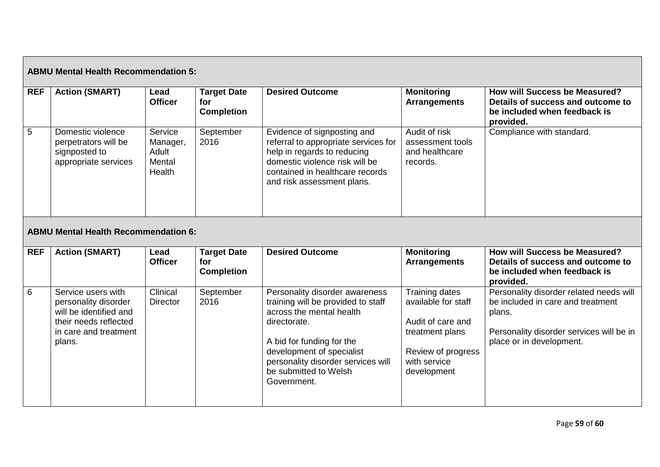| <b>ABMU Mental Health Recommendation 5:</b> |                                                                                                                                   |                                                  |                                                |                                                                                                                                                                                                                                                          |                                                                                                                                           |                                                                                                                                                                |
|---------------------------------------------|-----------------------------------------------------------------------------------------------------------------------------------|--------------------------------------------------|------------------------------------------------|----------------------------------------------------------------------------------------------------------------------------------------------------------------------------------------------------------------------------------------------------------|-------------------------------------------------------------------------------------------------------------------------------------------|----------------------------------------------------------------------------------------------------------------------------------------------------------------|
| <b>REF</b>                                  | <b>Action (SMART)</b>                                                                                                             | Lead<br><b>Officer</b>                           | <b>Target Date</b><br>for<br><b>Completion</b> | <b>Desired Outcome</b>                                                                                                                                                                                                                                   | <b>Monitoring</b><br><b>Arrangements</b>                                                                                                  | How will Success be Measured?<br>Details of success and outcome to<br>be included when feedback is<br>provided.                                                |
| $5\phantom{.0}$                             | Domestic violence<br>perpetrators will be<br>signposted to<br>appropriate services<br><b>ABMU Mental Health Recommendation 6:</b> | Service<br>Manager,<br>Adult<br>Mental<br>Health | September<br>2016                              | Evidence of signposting and<br>referral to appropriate services for<br>help in regards to reducing<br>domestic violence risk will be<br>contained in healthcare records<br>and risk assessment plans.                                                    | Audit of risk<br>assessment tools<br>and healthcare<br>records.                                                                           | Compliance with standard.                                                                                                                                      |
| <b>REF</b>                                  | <b>Action (SMART)</b>                                                                                                             | Lead<br><b>Officer</b>                           | <b>Target Date</b><br>for<br><b>Completion</b> | <b>Desired Outcome</b>                                                                                                                                                                                                                                   | <b>Monitoring</b><br><b>Arrangements</b>                                                                                                  | How will Success be Measured?<br>Details of success and outcome to<br>be included when feedback is<br>provided.                                                |
| 6                                           | Service users with<br>personality disorder<br>will be identified and<br>their needs reflected<br>in care and treatment<br>plans.  | Clinical<br><b>Director</b>                      | September<br>2016                              | Personality disorder awareness<br>training will be provided to staff<br>across the mental health<br>directorate.<br>A bid for funding for the<br>development of specialist<br>personality disorder services will<br>be submitted to Welsh<br>Government. | <b>Training dates</b><br>available for staff<br>Audit of care and<br>treatment plans<br>Review of progress<br>with service<br>development | Personality disorder related needs will<br>be included in care and treatment<br>plans.<br>Personality disorder services will be in<br>place or in development. |